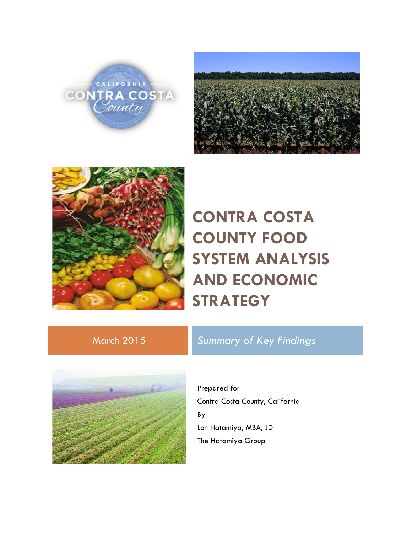





# **CONTRA COSTA COUNTY FOOD SYSTEM ANALYSIS AND ECONOMIC STRATEGY**

### March 2015 *Summary of Key Findings*



Prepared for Contra Costa County, California By Lon Hatamiya, MBA, JD The Hatamiya Group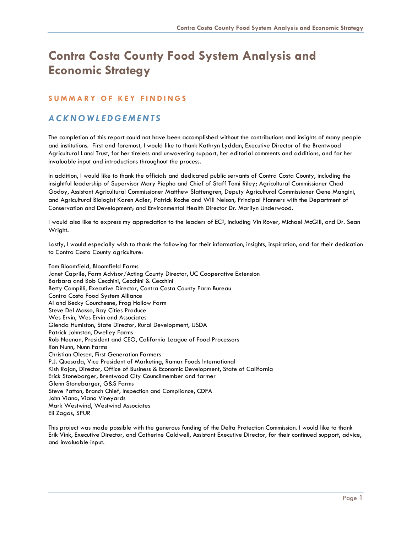## **Contra Costa County Food System Analysis and Economic Strategy**

#### **SUMMARY OF KEY FINDI NGS**

### *ACKNOWLEDGEMENTS*

The completion of this report could not have been accomplished without the contributions and insights of many people and institutions. First and foremost, I would like to thank Kathryn Lyddan, Executive Director of the Brentwood Agricultural Land Trust, for her tireless and unwavering support, her editorial comments and additions, and for her invaluable input and introductions throughout the process.

In addition, I would like to thank the officials and dedicated public servants of Contra Costa County, including the insightful leadership of Supervisor Mary Piepho and Chief of Staff Tomi Riley; Agricultural Commissioner Chad Godoy, Assistant Agricultural Commissioner Matthew Slattengren, Deputy Agricultural Commissioner Gene Mangini, and Agricultural Biologist Karen Adler; Patrick Roche and Will Nelson, Principal Planners with the Department of Conservation and Development; and Environmental Health Director Dr. Marilyn Underwood.

I would also like to express my appreciation to the leaders of EC2, including Vin Rover, Michael McGill, and Dr. Sean Wright.

Lastly, I would especially wish to thank the following for their information, insights, inspiration, and for their dedication to Contra Costa County agriculture:

Tom Bloomfield, Bloomfield Farms Janet Caprile, Farm Advisor/Acting County Director, UC Cooperative Extension Barbara and Bob Cecchini, Cecchini & Cecchini Betty Compilli, Executive Director, Contra Costa County Farm Bureau Contra Costa Food System Alliance Al and Becky Courchesne, Frog Hollow Farm Steve Del Masso, Bay Cities Produce Wes Ervin, Wes Ervin and Associates Glenda Humiston, State Director, Rural Development, USDA Patrick Johnston, Dwelley Farms Rob Neenan, President and CEO, California League of Food Processors Ron Nunn, Nunn Farms Christian Olesen, First Generation Farmers P.J. Quesada, Vice President of Marketing, Ramar Foods International Kish Rajan, Director, Office of Business & Economic Development, State of California Erick Stonebarger, Brentwood City Councilmember and farmer Glenn Stonebarger, G&S Farms Steve Patton, Branch Chief, Inspection and Compliance, CDFA John Viano, Viano Vineyards Mark Westwind, Westwind Associates Eli Zagas, SPUR

This project was made possible with the generous funding of the Delta Protection Commission. I would like to thank Erik Vink, Executive Director, and Catherine Caldwell, Assistant Executive Director, for their continued support, advice, and invaluable input.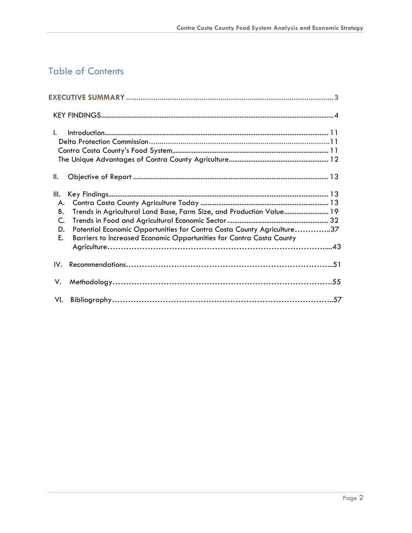### Table of Contents

| I.                                                                                                                                                                                                                                                         |  |
|------------------------------------------------------------------------------------------------------------------------------------------------------------------------------------------------------------------------------------------------------------|--|
| Ш.                                                                                                                                                                                                                                                         |  |
| Ш.<br>А.<br>Trends in Agricultural Land Base, Farm Size, and Production Value 19<br>В.<br>C.<br>Potential Economic Opportunities for Contra Costa County Agriculture37<br>D.<br>Barriers to Increased Economic Opportunities for Contra Costa County<br>Е. |  |
| IV.                                                                                                                                                                                                                                                        |  |
| V.                                                                                                                                                                                                                                                         |  |
|                                                                                                                                                                                                                                                            |  |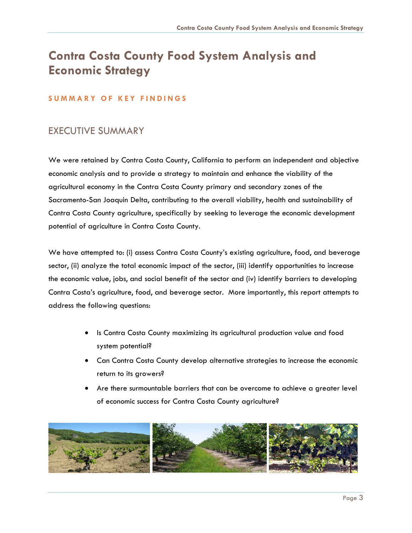## <span id="page-3-0"></span>**Contra Costa County Food System Analysis and Economic Strategy**

#### **SUMMARY OF KEY FINDI NGS**

### EXECUTIVE SUMMARY

We were retained by Contra Costa County, California to perform an independent and objective economic analysis and to provide a strategy to maintain and enhance the viability of the agricultural economy in the Contra Costa County primary and secondary zones of the Sacramento-San Joaquin Delta, contributing to the overall viability, health and sustainability of Contra Costa County agriculture, specifically by seeking to leverage the economic development potential of agriculture in Contra Costa County.

We have attempted to: (i) assess Contra Costa County's existing agriculture, food, and beverage sector, (ii) analyze the total economic impact of the sector, (iii) identify opportunities to increase the economic value, jobs, and social benefit of the sector and (iv) identify barriers to developing Contra Costa's agriculture, food, and beverage sector. More importantly, this report attempts to address the following questions:

- Is Contra Costa County maximizing its agricultural production value and food system potential?
- Can Contra Costa County develop alternative strategies to increase the economic return to its growers?
- Are there surmountable barriers that can be overcome to achieve a greater level of economic success for Contra Costa County agriculture?

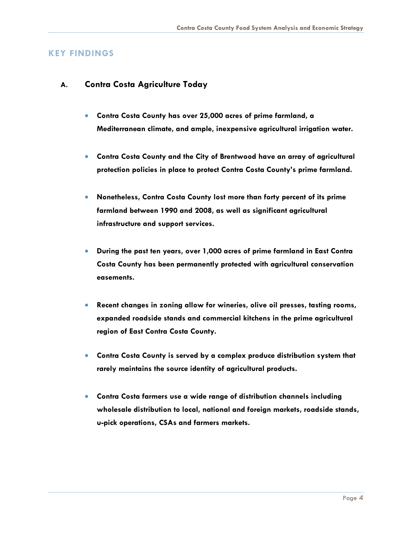#### <span id="page-4-0"></span>**KEY FINDINGS**

#### **A. Contra Costa Agriculture Today**

- **Contra Costa County has over 25,000 acres of prime farmland, a Mediterranean climate, and ample, inexpensive agricultural irrigation water.**
- **Contra Costa County and the City of Brentwood have an array of agricultural protection policies in place to protect Contra Costa County's prime farmland.**
- **Nonetheless, Contra Costa County lost more than forty percent of its prime farmland between 1990 and 2008, as well as significant agricultural infrastructure and support services.**
- **During the past ten years, over 1,000 acres of prime farmland in East Contra Costa County has been permanently protected with agricultural conservation easements.**
- **Recent changes in zoning allow for wineries, olive oil presses, tasting rooms, expanded roadside stands and commercial kitchens in the prime agricultural region of East Contra Costa County.**
- **Contra Costa County is served by a complex produce distribution system that rarely maintains the source identity of agricultural products.**
- **Contra Costa farmers use a wide range of distribution channels including wholesale distribution to local, national and foreign markets, roadside stands, u-pick operations, CSAs and farmers markets.**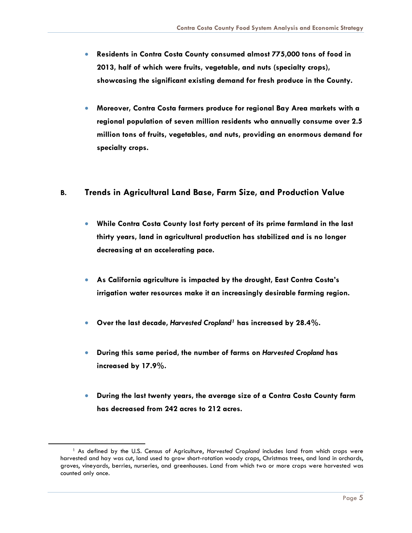- **Residents in Contra Costa County consumed almost 775,000 tons of food in 2013, half of which were fruits, vegetable, and nuts (specialty crops), showcasing the significant existing demand for fresh produce in the County.**
- **Moreover, Contra Costa farmers produce for regional Bay Area markets with a regional population of seven million residents who annually consume over 2.5 million tons of fruits, vegetables, and nuts, providing an enormous demand for specialty crops.**

#### **B. Trends in Agricultural Land Base, Farm Size, and Production Value**

- **While Contra Costa County lost forty percent of its prime farmland in the last thirty years, land in agricultural production has stabilized and is no longer decreasing at an accelerating pace.**
- **As California agriculture is impacted by the drought, East Contra Costa's irrigation water resources make it an increasingly desirable farming region.**
- **Over the last decade,** *Harvested Cropland[1](#page-5-0)* **has increased by 28.4%.**
- **During this same period, the number of farms on** *Harvested Cropland* **has increased by 17.9%.**
- **During the last twenty years, the average size of a Contra Costa County farm has decreased from 242 acres to 212 acres.**

<span id="page-5-0"></span><sup>1</sup> As defined by the U.S. Census of Agriculture, *Harvested Cropland* includes land from which crops were harvested and hay was cut, land used to grow short-rotation woody crops, Christmas trees, and land in orchards, groves, vineyards, berries, nurseries, and greenhouses. Land from which two or more crops were harvested was counted only once.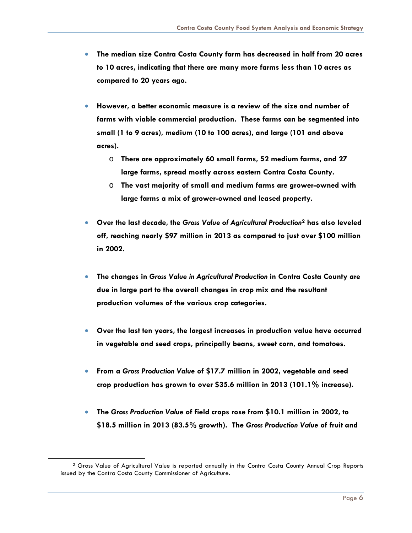- **The median size Contra Costa County farm has decreased in half from 20 acres to 10 acres, indicating that there are many more farms less than 10 acres as compared to 20 years ago.**
- **However, a better economic measure is a review of the size and number of farms with viable commercial production. These farms can be segmented into small (1 to 9 acres), medium (10 to 100 acres), and large (101 and above acres).**
	- o **There are approximately 60 small farms, 52 medium farms, and 27 large farms, spread mostly across eastern Contra Costa County.**
	- o **The vast majority of small and medium farms are grower-owned with large farms a mix of grower-owned and leased property.**
- **Over the last decade, the** *Gross Value of Agricultural Production***[2](#page-6-0) has also leveled off, reaching nearly \$97 million in 2013 as compared to just over \$100 million in 2002.**
- **The changes in** *Gross Value in Agricultural Production* **in Contra Costa County are due in large part to the overall changes in crop mix and the resultant production volumes of the various crop categories.**
- **Over the last ten years, the largest increases in production value have occurred in vegetable and seed crops, principally beans, sweet corn, and tomatoes.**
- **From a** *Gross Production Value* **of \$17.7 million in 2002, vegetable and seed crop production has grown to over \$35.6 million in 2013 (101.1% increase).**
- **The** *Gross Production Value* **of field crops rose from \$10.1 million in 2002, to \$18.5 million in 2013 (83.5% growth). The** *Gross Production Value* **of fruit and**

<span id="page-6-0"></span><sup>&</sup>lt;sup>2</sup> Gross Value of Agricultural Value is reported annually in the Contra Costa County Annual Crop Reports issued by the Contra Costa County Commissioner of Agriculture.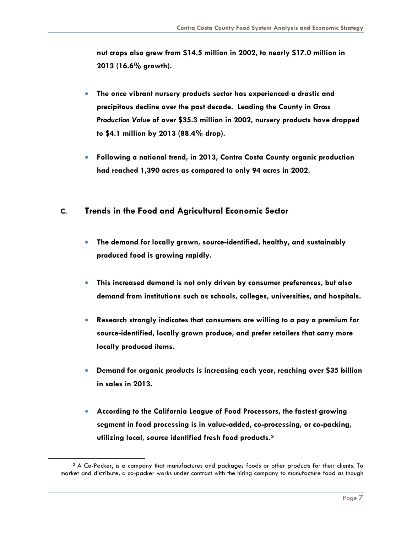**nut crops also grew from \$14.5 million in 2002, to nearly \$17.0 million in 2013 (16.6% growth).**

- **The once vibrant nursery products sector has experienced a drastic and precipitous decline over the past decade. Leading the County in** *Gross Production Value* **of over \$35.3 million in 2002, nursery products have dropped to \$4.1 million by 2013 (88.4% drop).**
- **Following a national trend, in 2013, Contra Costa County organic production had reached 1,390 acres as compared to only 94 acres in 2002.**

#### **C. Trends in the Food and Agricultural Economic Sector**

- **The demand for locally grown, source-identified, healthy, and sustainably produced food is growing rapidly.**
- **This increased demand is not only driven by consumer preferences, but also demand from institutions such as schools, colleges, universities, and hospitals.**
- **Research strongly indicates that consumers are willing to a pay a premium for source-identified, locally grown produce, and prefer retailers that carry more locally produced items.**
- **Demand for organic products is increasing each year, reaching over \$35 billion in sales in 2013.**
- **According to the California League of Food Processors, the fastest growing segment in food processing is in value-added, co-processing, or co-packing, utilizing local, source identified fresh food products.[3](#page-8-0)**

<sup>3</sup> A Co-Packer, is a company that manufactures and packages foods or other products for their clients. To market and distribute, a co-packer works under contract with the hiring company to manufacture food as though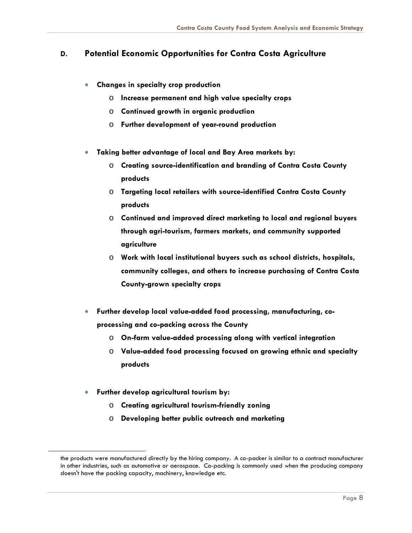### **D. Potential Economic Opportunities for Contra Costa Agriculture**

- **Changes in specialty crop production**
	- o **Increase permanent and high value specialty crops**
	- o **Continued growth in organic production**
	- o **Further development of year-round production**
- **Taking better advantage of local and Bay Area markets by:**
	- o **Creating source-identification and branding of Contra Costa County products**
	- o **Targeting local retailers with source-identified Contra Costa County products**
	- o **Continued and improved direct marketing to local and regional buyers through agri-tourism, farmers markets, and community supported agriculture**
	- o **Work with local institutional buyers such as school districts, hospitals, community colleges, and others to increase purchasing of Contra Costa County-grown specialty crops**
- **Further develop local value-added food processing, manufacturing, coprocessing and co-packing across the County**
	- o **On-farm value-added processing along with vertical integration**
	- o **Value-added food processing focused on growing ethnic and specialty products**
- **Further develop agricultural tourism by:**

<span id="page-8-0"></span>

- o **Creating agricultural tourism-friendly zoning**
- o **Developing better public outreach and marketing**

the products were manufactured directly by the hiring company. A co-packer is similar to a contract manufacturer in other industries, such as automotive or aerospace. Co-packing is commonly used when the producing company doesn't have the packing capacity, machinery, knowledge etc.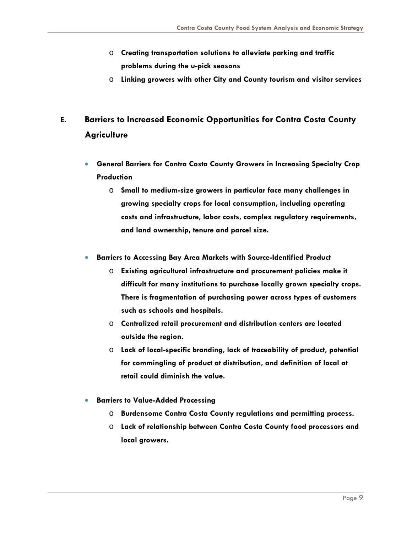- o **Creating transportation solutions to alleviate parking and traffic problems during the u-pick seasons**
- o **Linking growers with other City and County tourism and visitor services**

### **E. Barriers to Increased Economic Opportunities for Contra Costa County Agriculture**

- **General Barriers for Contra Costa County Growers in Increasing Specialty Crop Production**
	- o **Small to medium-size growers in particular face many challenges in growing specialty crops for local consumption, including operating costs and infrastructure, labor costs, complex regulatory requirements, and land ownership, tenure and parcel size.**
- **Barriers to Accessing Bay Area Markets with Source-Identified Product**
	- o **Existing agricultural infrastructure and procurement policies make it difficult for many institutions to purchase locally grown specialty crops. There is fragmentation of purchasing power across types of customers such as schools and hospitals.**
	- o **Centralized retail procurement and distribution centers are located outside the region.**
	- o **Lack of local-specific branding, lack of traceability of product, potential for commingling of product at distribution, and definition of local at retail could diminish the value.**
- **Barriers to Value-Added Processing**
	- o **Burdensome Contra Costa County regulations and permitting process.**
	- o **Lack of relationship between Contra Costa County food processors and local growers.**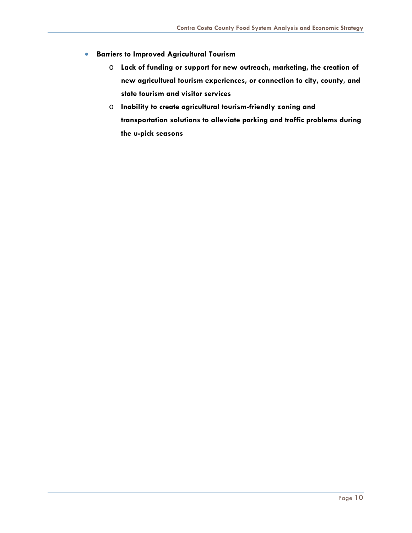- **Barriers to Improved Agricultural Tourism**
	- o **Lack of funding or support for new outreach, marketing, the creation of new agricultural tourism experiences, or connection to city, county, and state tourism and visitor services**
	- o **Inability to create agricultural tourism-friendly zoning and transportation solutions to alleviate parking and traffic problems during the u-pick seasons**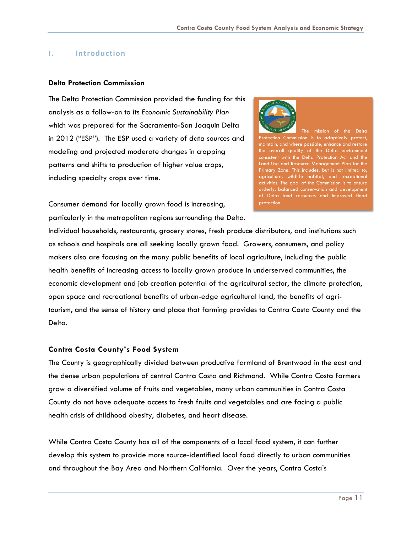#### <span id="page-11-0"></span>**I. Introduction**

#### **Delta Protection Commission**

The Delta Protection Commission provided the funding for this analysis as a follow-on to its *Economic Sustainability Plan* which was prepared for the Sacramento-San Joaquin Delta in 2012 ("ESP"). The ESP used a variety of data sources and modeling and projected moderate changes in cropping patterns and shifts to production of higher value crops, including specialty crops over time.



The mission of the Delta ection Commission is to adaptively protect, maintain, and where possible, enhance and restore the overall quality of the Delta environment consistent with the Delta Protection Act and the Land Use and Resource Management Plan for the Primary Zone. This includes, but is not limited to, agriculture, wildlife habitat, and recreational activities. The goal of the Commission is to ensure orderly, balanced conservation and development of Delta land resources and improved flood protection.

Consumer demand for locally grown food is increasing, particularly in the metropolitan regions surrounding the Delta.

Individual households, restaurants, grocery stores, fresh produce distributors, and institutions such as schools and hospitals are all seeking locally grown food. Growers, consumers, and policy makers also are focusing on the many public benefits of local agriculture, including the public health benefits of increasing access to locally grown produce in underserved communities, the economic development and job creation potential of the agricultural sector, the climate protection, open space and recreational benefits of urban-edge agricultural land, the benefits of agritourism, and the sense of history and place that farming provides to Contra Costa County and the Delta.

#### <span id="page-11-1"></span>**Contra Costa County's Food System**

The County is geographically divided between productive farmland of Brentwood in the east and the dense urban populations of central Contra Costa and Richmond. While Contra Costa farmers grow a diversified volume of fruits and vegetables, many urban communities in Contra Costa County do not have adequate access to fresh fruits and vegetables and are facing a public health crisis of childhood obesity, diabetes, and heart disease.

While Contra Costa County has all of the components of a local food system, it can further develop this system to provide more source-identified local food directly to urban communities and throughout the Bay Area and Northern California. Over the years, Contra Costa's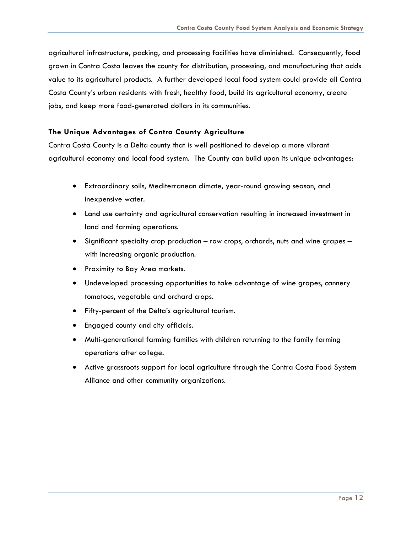agricultural infrastructure, packing, and processing facilities have diminished. Consequently, food grown in Contra Costa leaves the county for distribution, processing, and manufacturing that adds value to its agricultural products. A further developed local food system could provide all Contra Costa County's urban residents with fresh, healthy food, build its agricultural economy, create jobs, and keep more food-generated dollars in its communities.

#### <span id="page-12-0"></span>**The Unique Advantages of Contra County Agriculture**

Contra Costa County is a Delta county that is well positioned to develop a more vibrant agricultural economy and local food system. The County can build upon its unique advantages:

- Extraordinary soils, Mediterranean climate, year-round growing season, and inexpensive water.
- Land use certainty and agricultural conservation resulting in increased investment in land and farming operations.
- Significant specialty crop production row crops, orchards, nuts and wine grapes with increasing organic production.
- Proximity to Bay Area markets.
- Undeveloped processing opportunities to take advantage of wine grapes, cannery tomatoes, vegetable and orchard crops.
- Fifty-percent of the Delta's agricultural tourism.
- Engaged county and city officials.
- Multi-generational farming families with children returning to the family farming operations after college.
- Active grassroots support for local agriculture through the Contra Costa Food System Alliance and other community organizations.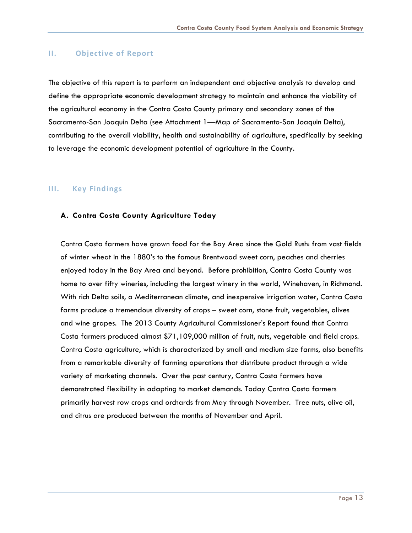#### <span id="page-13-0"></span>**II. Objective of Report**

The objective of this report is to perform an independent and objective analysis to develop and define the appropriate economic development strategy to maintain and enhance the viability of the agricultural economy in the Contra Costa County primary and secondary zones of the Sacramento-San Joaquin Delta (see Attachment 1—Map of Sacramento-San Joaquin Delta), contributing to the overall viability, health and sustainability of agriculture, specifically by seeking to leverage the economic development potential of agriculture in the County.

#### <span id="page-13-1"></span>**III. Key Findings**

#### <span id="page-13-2"></span>**A. Contra Costa County Agriculture Today**

Contra Costa farmers have grown food for the Bay Area since the Gold Rush: from vast fields of winter wheat in the 1880's to the famous Brentwood sweet corn, peaches and cherries enjoyed today in the Bay Area and beyond. Before prohibition, Contra Costa County was home to over fifty wineries, including the largest winery in the world, Winehaven, in Richmond. With rich Delta soils, a Mediterranean climate, and inexpensive irrigation water, Contra Costa farms produce a tremendous diversity of crops – sweet corn, stone fruit, vegetables, olives and wine grapes. The 2013 County Agricultural Commissioner's Report found that Contra Costa farmers produced almost \$71,109,000 million of fruit, nuts, vegetable and field crops. Contra Costa agriculture, which is characterized by small and medium size farms, also benefits from a remarkable diversity of farming operations that distribute product through a wide variety of marketing channels. Over the past century, Contra Costa farmers have demonstrated flexibility in adapting to market demands. Today Contra Costa farmers primarily harvest row crops and orchards from May through November. Tree nuts, olive oil, and citrus are produced between the months of November and April.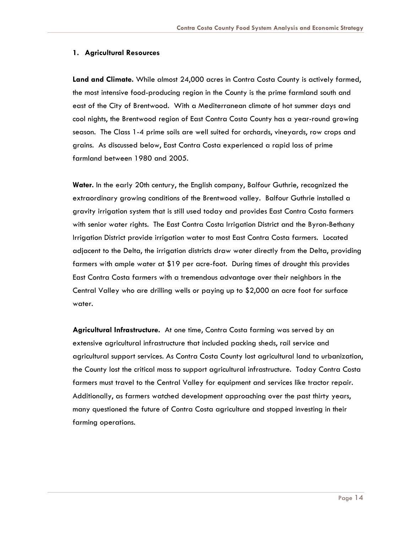#### **1. Agricultural Resources**

**Land and Climate.** While almost 24,000 acres in Contra Costa County is actively farmed, the most intensive food-producing region in the County is the prime farmland south and east of the City of Brentwood. With a Mediterranean climate of hot summer days and cool nights, the Brentwood region of East Contra Costa County has a year-round growing season. The Class 1-4 prime soils are well suited for orchards, vineyards, row crops and grains. As discussed below, East Contra Costa experienced a rapid loss of prime farmland between 1980 and 2005.

**Water.** In the early 20th century, the English company, Balfour Guthrie, recognized the extraordinary growing conditions of the Brentwood valley. Balfour Guthrie installed a gravity irrigation system that is still used today and provides East Contra Costa farmers with senior water rights. The East Contra Costa Irrigation District and the Byron-Bethany Irrigation District provide irrigation water to most East Contra Costa farmers. Located adjacent to the Delta, the irrigation districts draw water directly from the Delta, providing farmers with ample water at \$19 per acre-foot. During times of drought this provides East Contra Costa farmers with a tremendous advantage over their neighbors in the Central Valley who are drilling wells or paying up to \$2,000 an acre foot for surface water.

**Agricultural Infrastructure.** At one time, Contra Costa farming was served by an extensive agricultural infrastructure that included packing sheds, rail service and agricultural support services. As Contra Costa County lost agricultural land to urbanization, the County lost the critical mass to support agricultural infrastructure. Today Contra Costa farmers must travel to the Central Valley for equipment and services like tractor repair. Additionally, as farmers watched development approaching over the past thirty years, many questioned the future of Contra Costa agriculture and stopped investing in their farming operations.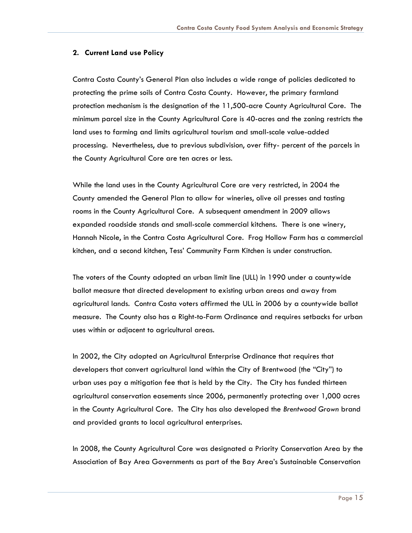#### **2. Current Land use Policy**

Contra Costa County's General Plan also includes a wide range of policies dedicated to protecting the prime soils of Contra Costa County. However, the primary farmland protection mechanism is the designation of the 11,500-acre County Agricultural Core. The minimum parcel size in the County Agricultural Core is 40-acres and the zoning restricts the land uses to farming and limits agricultural tourism and small-scale value-added processing. Nevertheless, due to previous subdivision, over fifty- percent of the parcels in the County Agricultural Core are ten acres or less.

While the land uses in the County Agricultural Core are very restricted, in 2004 the County amended the General Plan to allow for wineries, olive oil presses and tasting rooms in the County Agricultural Core. A subsequent amendment in 2009 allows expanded roadside stands and small-scale commercial kitchens. There is one winery, Hannah Nicole, in the Contra Costa Agricultural Core. Frog Hollow Farm has a commercial kitchen, and a second kitchen, Tess' Community Farm Kitchen is under construction.

The voters of the County adopted an urban limit line (ULL) in 1990 under a countywide ballot measure that directed development to existing urban areas and away from agricultural lands. Contra Costa voters affirmed the ULL in 2006 by a countywide ballot measure. The County also has a Right-to-Farm Ordinance and requires setbacks for urban uses within or adjacent to agricultural areas.

In 2002, the City adopted an Agricultural Enterprise Ordinance that requires that developers that convert agricultural land within the City of Brentwood (the "City") to urban uses pay a mitigation fee that is held by the City. The City has funded thirteen agricultural conservation easements since 2006, permanently protecting over 1,000 acres in the County Agricultural Core. The City has also developed the *Brentwood Grown* brand and provided grants to local agricultural enterprises.

In 2008, the County Agricultural Core was designated a Priority Conservation Area by the Association of Bay Area Governments as part of the Bay Area's Sustainable Conservation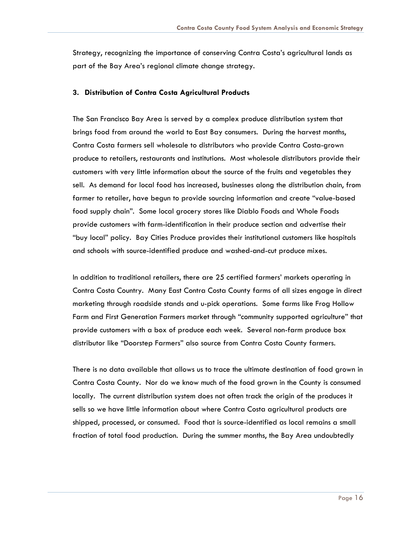Strategy, recognizing the importance of conserving Contra Costa's agricultural lands as part of the Bay Area's regional climate change strategy.

#### **3. Distribution of Contra Costa Agricultural Products**

The San Francisco Bay Area is served by a complex produce distribution system that brings food from around the world to East Bay consumers. During the harvest months, Contra Costa farmers sell wholesale to distributors who provide Contra Costa-grown produce to retailers, restaurants and institutions. Most wholesale distributors provide their customers with very little information about the source of the fruits and vegetables they sell. As demand for local food has increased, businesses along the distribution chain, from farmer to retailer, have begun to provide sourcing information and create "value-based food supply chain". Some local grocery stores like Diablo Foods and Whole Foods provide customers with farm-identification in their produce section and advertise their "buy local" policy. Bay Cities Produce provides their institutional customers like hospitals and schools with source-identified produce and washed-and-cut produce mixes.

In addition to traditional retailers, there are 25 certified farmers' markets operating in Contra Costa Country. Many East Contra Costa County farms of all sizes engage in direct marketing through roadside stands and u-pick operations. Some farms like Frog Hollow Farm and First Generation Farmers market through "community supported agriculture" that provide customers with a box of produce each week. Several non-farm produce box distributor like "Doorstep Farmers" also source from Contra Costa County farmers.

There is no data available that allows us to trace the ultimate destination of food grown in Contra Costa County. Nor do we know much of the food grown in the County is consumed locally. The current distribution system does not often track the origin of the produces it sells so we have little information about where Contra Costa agricultural products are shipped, processed, or consumed. Food that is source-identified as local remains a small fraction of total food production. During the summer months, the Bay Area undoubtedly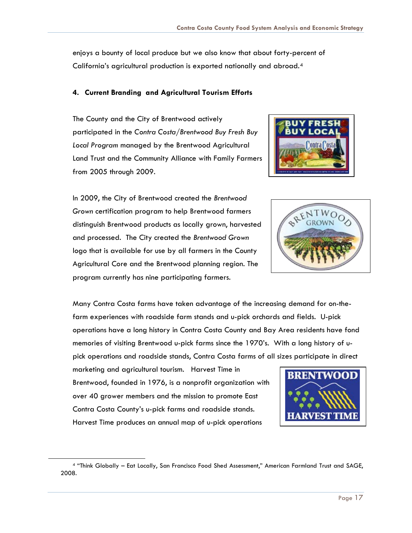enjoys a bounty of local produce but we also know that about forty-percent of California's agricultural production is exported nationally and abroad.[4](#page-17-0)

#### **4. Current Branding and Agricultural Tourism Efforts**

The County and the City of Brentwood actively participated in the *Contra Costa/Brentwood Buy Fresh Buy Local Program* managed by the Brentwood Agricultural Land Trust and the Community Alliance with Family Farmers from 2005 through 2009.

In 2009, the City of Brentwood created the *Brentwood Grown* certification program to help Brentwood farmers distinguish Brentwood products as locally grown, harvested and processed. The City created the *Brentwood Grown* logo that is available for use by all farmers in the County Agricultural Core and the Brentwood planning region. The program currently has nine participating farmers.





Many Contra Costa farms have taken advantage of the increasing demand for on-thefarm experiences with roadside farm stands and u-pick orchards and fields. U-pick operations have a long history in Contra Costa County and Bay Area residents have fond memories of visiting Brentwood u-pick farms since the 1970's. With a long history of upick operations and roadside stands, Contra Costa farms of all sizes participate in direct

marketing and agricultural tourism. Harvest Time in Brentwood, founded in 1976, is a nonprofit organization with over 40 grower members and the mission to promote East Contra Costa County's u-pick farms and roadside stands. Harvest Time produces an annual map of u-pick operations



<span id="page-17-0"></span><sup>4</sup> "Think Globally – Eat Locally, San Francisco Food Shed Assessment," American Farmland Trust and SAGE, 2008.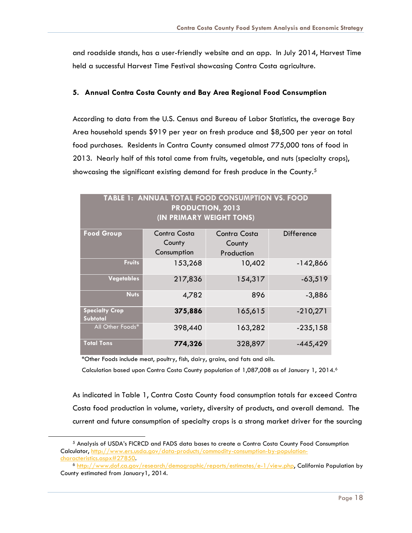and roadside stands, has a user-friendly website and an app. In July 2014, Harvest Time held a successful Harvest Time Festival showcasing Contra Costa agriculture.

#### **5. Annual Contra Costa County and Bay Area Regional Food Consumption**

According to data from the U.S. Census and Bureau of Labor Statistics, the average Bay Area household spends \$919 per year on fresh produce and \$8,500 per year on total food purchases. Residents in Contra County consumed almost 775,000 tons of food in 2013. Nearly half of this total came from fruits, vegetable, and nuts (specialty crops), showcasing the significant existing demand for fresh produce in the County.<sup>[5](#page-18-0)</sup>

| TABLE 1: ANNUAL TOTAL FOOD CONSUMPTION VS. FOOD<br><b>PRODUCTION, 2013</b><br>(IN PRIMARY WEIGHT TONS) |                     |              |            |  |  |  |  |
|--------------------------------------------------------------------------------------------------------|---------------------|--------------|------------|--|--|--|--|
| <b>Food Group</b>                                                                                      | <b>Contra Costa</b> | Contra Costa | Difference |  |  |  |  |
|                                                                                                        | County              | County       |            |  |  |  |  |
|                                                                                                        | Consumption         | Production   |            |  |  |  |  |
| <b>Fruits</b>                                                                                          | 153,268             | 10,402       | $-142,866$ |  |  |  |  |
| <b>Vegetables</b>                                                                                      | 217,836             | 154,317      | $-63,519$  |  |  |  |  |
| <b>Nuts</b>                                                                                            | 4,782               | 896          | $-3,886$   |  |  |  |  |
| <b>Specialty Crop</b><br>Subtotal                                                                      | 375,886             | 165,615      | $-210,271$ |  |  |  |  |
| All Other Foods*                                                                                       | 398,440             | 163,282      | $-235,158$ |  |  |  |  |
| <b>Total Tons</b>                                                                                      | 774,326             | 328,897      | $-445,429$ |  |  |  |  |

\*Other Foods include meat, poultry, fish, dairy, grains, and fats and oils.

<span id="page-18-1"></span><span id="page-18-0"></span> $\overline{a}$ 

Calculation based upon Contra Costa County population of 1,087,008 as of January 1, 2014.<sup>[6](#page-18-1)</sup>

As indicated in Table 1, Contra Costa County food consumption totals far exceed Contra Costa food production in volume, variety, diversity of products, and overall demand. The current and future consumption of specialty crops is a strong market driver for the sourcing

<sup>5</sup> Analysis of USDA's FICRCD and FADS data bases to create a Contra Costa County Food Consumption Calculator, [http://www.ers.usda.gov/data-products/commodity-consumption-by-population](http://www.ers.usda.gov/data-products/commodity-consumption-by-population-characteristics.aspx%2327850)[characteristics.aspx#27850.](http://www.ers.usda.gov/data-products/commodity-consumption-by-population-characteristics.aspx%2327850)

<sup>6</sup> [http://www.dof.ca.gov/research/demographic/reports/estimates/e-1/view.php,](http://www.dof.ca.gov/research/demographic/reports/estimates/e-1/view.php) California Population by County estimated from January1, 2014.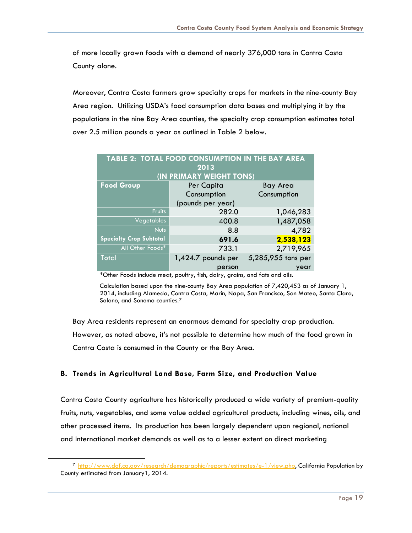of more locally grown foods with a demand of nearly 376,000 tons in Contra Costa County alone.

Moreover, Contra Costa farmers grow specialty crops for markets in the nine-county Bay Area region. Utilizing USDA's food consumption data bases and multiplying it by the populations in the nine Bay Area counties, the specialty crop consumption estimates total over 2.5 million pounds a year as outlined in Table 2 below.

| TABLE 2: TOTAL FOOD CONSUMPTION IN THE BAY AREA |                          |                    |  |  |  |  |  |  |
|-------------------------------------------------|--------------------------|--------------------|--|--|--|--|--|--|
| 2013                                            |                          |                    |  |  |  |  |  |  |
|                                                 | (IN PRIMARY WEIGHT TONS) |                    |  |  |  |  |  |  |
| <b>Food Group</b>                               | Per Capita               | <b>Bay Area</b>    |  |  |  |  |  |  |
|                                                 | Consumption              | Consumption        |  |  |  |  |  |  |
|                                                 | (pounds per year)        |                    |  |  |  |  |  |  |
| <b>Fruits</b>                                   | 282.0                    | 1,046,283          |  |  |  |  |  |  |
| Vegetables                                      | 400.8                    | 1,487,058          |  |  |  |  |  |  |
| Nuts                                            | 8.8                      | 4,782              |  |  |  |  |  |  |
| <b>Specialty Crop Subtotal</b>                  | 691.6                    | 2,538,123          |  |  |  |  |  |  |
| All Other Foods*                                | 733.1                    | 2,719,965          |  |  |  |  |  |  |
| <b>Total</b>                                    | 1,424.7 pounds per       | 5,285,955 tons per |  |  |  |  |  |  |
|                                                 | person                   | year               |  |  |  |  |  |  |

\*Other Foods include meat, poultry, fish, dairy, grains, and fats and oils.

Calculation based upon the nine-county Bay Area population of 7,420,453 as of January 1, 2014, including Alameda, Contra Costa, Marin, Napa, San Francisco, San Mateo, Santa Clara, Solano, and Sonoma counties.[7](#page-19-1)

Bay Area residents represent an enormous demand for specialty crop production. However, as noted above, it's not possible to determine how much of the food grown in Contra Costa is consumed in the County or the Bay Area.

#### <span id="page-19-0"></span>**B. Trends in Agricultural Land Base, Farm Size, and Production Value**

<span id="page-19-1"></span> $\overline{a}$ 

Contra Costa County agriculture has historically produced a wide variety of premium-quality fruits, nuts, vegetables, and some value added agricultural products, including wines, oils, and other processed items. Its production has been largely dependent upon regional, national and international market demands as well as to a lesser extent on direct marketing

<sup>7</sup> [http://www.dof.ca.gov/research/demographic/reports/estimates/e-1/view.php,](http://www.dof.ca.gov/research/demographic/reports/estimates/e-1/view.php) California Population by County estimated from January1, 2014.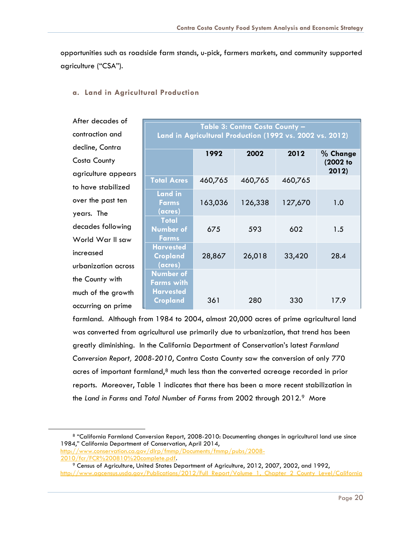opportunities such as roadside farm stands, u-pick, farmers markets, and community supported agriculture ("CSA").

| After decades of    |                                                                                            |         |         |         |                      |  |  |  |
|---------------------|--------------------------------------------------------------------------------------------|---------|---------|---------|----------------------|--|--|--|
| contraction and     | Table 3: Contra Costa County -<br>Land in Agricultural Production (1992 vs. 2002 vs. 2012) |         |         |         |                      |  |  |  |
| decline, Contra     | 2002<br>2012                                                                               |         |         |         |                      |  |  |  |
| Costa County        |                                                                                            | 1992    |         |         | % Change<br>(2002 to |  |  |  |
| agriculture appears |                                                                                            |         |         |         | 2012)                |  |  |  |
| to have stabilized  | <b>Total Acres</b>                                                                         | 460,765 | 460,765 | 460,765 |                      |  |  |  |
|                     | <b>Land in</b>                                                                             |         |         |         |                      |  |  |  |
| over the past ten   | <b>Farms</b>                                                                               | 163,036 | 126,338 | 127,670 | 1.0                  |  |  |  |
| years. The          | (acres)                                                                                    |         |         |         |                      |  |  |  |
| decades following   | <b>Total</b><br><b>Number of</b>                                                           | 675     | 593     | 602     | 1.5                  |  |  |  |
| World War II saw    | <b>Farms</b>                                                                               |         |         |         |                      |  |  |  |
| increased           | <b>Harvested</b><br>Cropland                                                               | 28,867  | 26,018  | 33,420  | 28.4                 |  |  |  |
| urbanization across | (acres)                                                                                    |         |         |         |                      |  |  |  |
| the County with     | <b>Number of</b><br>Farms with                                                             |         |         |         |                      |  |  |  |
| much of the growth  | <b>Harvested</b>                                                                           |         |         |         |                      |  |  |  |
| occurring on prime  | Cropland                                                                                   | 361     | 280     | 330     | 17.9                 |  |  |  |

#### **a. Land in Agricultural Production**

farmland. Although from 1984 to 2004, almost 20,000 acres of prime agricultural land was converted from agricultural use primarily due to urbanization, that trend has been greatly diminishing. In the California Department of Conservation's latest *Farmland Conversion Report, 2008-2010*, Contra Costa County saw the conversion of only 770 acres of important farmland, $8$  much less than the converted acreage recorded in prior reports. Moreover, Table 1 indicates that there has been a more recent stabilization in the *Land in Farms* and *Total Number of Farms* from 2002 through 2012.[9](#page-20-1) More

<span id="page-20-0"></span><sup>8</sup> "California Farmland Conversion Report, 2008-2010: Documenting changes in agricultural land use since 1984," California Department of Conservation, April 2014,

[http://www.conservation.ca.gov/dlrp/fmmp/Documents/fmmp/pubs/2008-](http://www.conservation.ca.gov/dlrp/fmmp/Documents/fmmp/pubs/2008-2010/fcr/FCR%200810%20complete.pdf) [2010/fcr/FCR%200810%20complete.pdf.](http://www.conservation.ca.gov/dlrp/fmmp/Documents/fmmp/pubs/2008-2010/fcr/FCR%200810%20complete.pdf)

<span id="page-20-1"></span><sup>9</sup> Census of Agriculture, United States Department of Agriculture, 2012, 2007, 2002, and 1992, [http://www.agcensus.usda.gov/Publications/2012/Full\\_Report/Volume\\_1,\\_Chapter\\_2\\_County\\_Level/California](http://www.agcensus.usda.gov/Publications/2012/Full_Report/Volume_1,_Chapter_2_County_Level/California)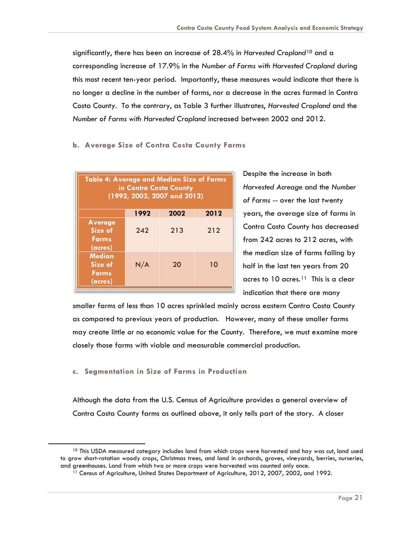significantly, there has been an increase of 28.4% in *Harvested Cropland[10](#page-21-0)* and a corresponding increase of 17.9% in the *Number of Farms with Harvested Cropland* during this most recent ten-year period. Importantly, these measures would indicate that there is no longer a decline in the number of farms, nor a decrease in the acres farmed in Contra Costa County. To the contrary, as Table 3 further illustrates, *Harvested Cropland* and the *Number of Farms with Harvested Cropland* increased between 2002 and 2012.

#### **b. Average Size of Contra Costa County Farms**

| <b>Table 4: Average and Median Size of Farms</b><br>in Contra Costa County<br>(1992, 2002, 2007 and 2012) |      |      |      |  |  |
|-----------------------------------------------------------------------------------------------------------|------|------|------|--|--|
|                                                                                                           | 1992 | 2002 | 2012 |  |  |
| <b>Average</b><br>Size of<br><b>Farms</b><br>(acres)                                                      | 242  | 213  | 212  |  |  |
| <b>Median</b><br>Size of<br><b>Farms</b><br>(acres)                                                       | N/A  | 20   | 10   |  |  |

Despite the increase in both *Harvested Acreage* and the *Number of Farms* -- over the last twenty years, the average size of farms in Contra Costa County has decreased from 242 acres to 212 acres, with the median size of farms falling by half in the last ten years from 20 acres to  $10$  acres.<sup>[11](#page-21-1)</sup> This is a clear indication that there are many

smaller farms of less than 10 acres sprinkled mainly across eastern Contra Costa County as compared to previous years of production. However, many of these smaller farms may create little or no economic value for the County. Therefore, we must examine more closely those farms with viable and measurable commercial production.

#### **c. Segmentation in Size of Farms in Production**

<span id="page-21-1"></span><span id="page-21-0"></span> $\overline{a}$ 

Although the data from the U.S. Census of Agriculture provides a general overview of Contra Costa County farms as outlined above, it only tells part of the story. A closer

<sup>&</sup>lt;sup>10</sup> This USDA measured category includes land from which crops were harvested and hay was cut, land used to grow short-rotation woody crops, Christmas trees, and land in orchards, groves, vineyards, berries, nurseries, and greenhouses. Land from which two or more crops were harvested was counted only once.

<sup>&</sup>lt;sup>11</sup> Census of Agriculture, United States Department of Agriculture, 2012, 2007, 2002, and 1992.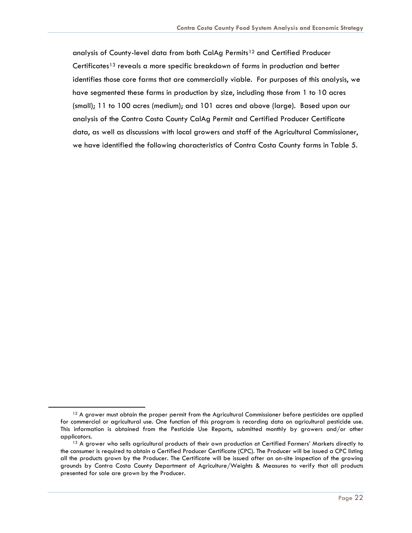analysis of County-level data from both CalAg Permits<sup>[12](#page-22-0)</sup> and Certified Producer Certificates<sup>[13](#page-22-1)</sup> reveals a more specific breakdown of farms in production and better identifies those core farms that are commercially viable. For purposes of this analysis, we have segmented these farms in production by size, including those from 1 to 10 acres (small); 11 to 100 acres (medium); and 101 acres and above (large). Based upon our analysis of the Contra Costa County CalAg Permit and Certified Producer Certificate data, as well as discussions with local growers and staff of the Agricultural Commissioner, we have identified the following characteristics of Contra Costa County farms in Table 5.

<span id="page-22-0"></span><sup>&</sup>lt;sup>12</sup> A grower must obtain the proper permit from the Agricultural Commissioner before pesticides are applied for commercial or agricultural use. One function of this program is recording data on agricultural pesticide use. This information is obtained from the Pesticide Use Reports, submitted monthly by growers and/or other applicators.<br><sup>13</sup> A grower who sells agricultural products of their own production at Certified Farmers' Markets directly to

<span id="page-22-1"></span>the consumer is required to obtain a Certified Producer Certificate (CPC). The Producer will be issued a CPC listing all the products grown by the Producer. The Certificate will be issued after an on-site inspection of the growing grounds by Contra Costa County Department of Agriculture/Weights & Measures to verify that all products presented for sale are grown by the Producer.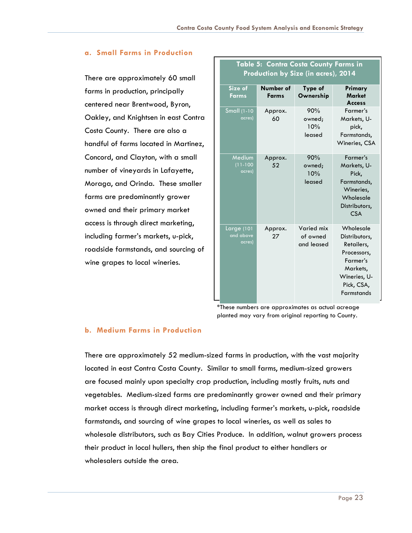#### **a. Small Farms in Production**

There are approximately 60 small farms in production, principally centered near Brentwood, Byron, Oakley, and Knightsen in east Contra Costa County. There are also a handful of farms located in Martinez, Concord, and Clayton, with a small number of vineyards in Lafayette, Moraga, and Orinda. These smaller farms are predominantly grower owned and their primary market access is through direct marketing, including farmer's markets, u-pick, roadside farmstands, and sourcing of wine grapes to local wineries.

| $\frac{1}{2}$ respectively by SIZE (iii determined by EV III |                                            |                                      |                                                                                                                                    |  |  |  |  |
|--------------------------------------------------------------|--------------------------------------------|--------------------------------------|------------------------------------------------------------------------------------------------------------------------------------|--|--|--|--|
| Size of<br><b>Farms</b>                                      | Number of<br>Type of<br>Ownership<br>Farms |                                      | Primary<br><b>Market</b><br><b>Access</b>                                                                                          |  |  |  |  |
| <b>Small</b> (1-10<br>acres)                                 | Approx.<br>60                              | 90%<br>owned;<br>10%<br>leased       | Farmer's<br>Markets, U-<br>pick,<br>Farmstands,<br>Wineries, CSA                                                                   |  |  |  |  |
| Medium<br>$(11 - 100$<br>acres)                              | Approx.<br>52                              | 90%<br>owned;<br>10%<br>leased       | Farmer's<br>Markets, U-<br>Pick,<br>Farmstands,<br>Wineries,<br>Wholesale<br>Distributors,<br><b>CSA</b>                           |  |  |  |  |
| Large (101<br>and above<br>acres)                            | Approx.<br>27                              | Varied mix<br>of owned<br>and leased | Wholesale<br>Distributors,<br>Retailers,<br>Processors,<br>Farmer's<br>Markets,<br>Wineries, U-<br>Pick, CSA,<br><b>Farmstands</b> |  |  |  |  |

**Table 5: Contra Costa County Farms in**   $\mathbf{P} = \mathbf{P} \mathbf{P} \mathbf{P} \mathbf{P} \mathbf{P} \mathbf{P} \mathbf{P} \mathbf{P} \mathbf{P} \mathbf{P} \mathbf{P} \mathbf{P} \mathbf{P} \mathbf{P} \mathbf{P} \mathbf{P} \mathbf{P} \mathbf{P} \mathbf{P} \mathbf{P} \mathbf{P} \mathbf{P} \mathbf{P} \mathbf{P} \mathbf{P} \mathbf{P} \mathbf{P} \mathbf{P} \mathbf{P} \mathbf{P} \mathbf{P} \mathbf{P} \mathbf{P} \mathbf{P} \mathbf{P} \mathbf$ 

\*These numbers are approximates as actual acreage planted may vary from original reporting to County.

#### **b. Medium Farms in Production**

There are approximately 52 medium-sized farms in production, with the vast majority located in east Contra Costa County. Similar to small farms, medium-sized growers are focused mainly upon specialty crop production, including mostly fruits, nuts and vegetables. Medium-sized farms are predominantly grower owned and their primary market access is through direct marketing, including farmer's markets, u-pick, roadside farmstands, and sourcing of wine grapes to local wineries, as well as sales to wholesale distributors, such as Bay Cities Produce. In addition, walnut growers process their product in local hullers, then ship the final product to either handlers or wholesalers outside the area.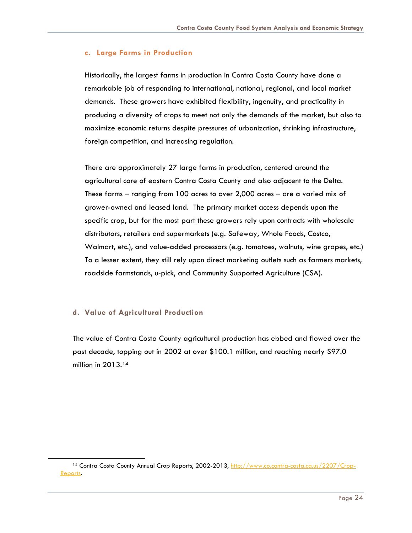#### **c. Large Farms in Production**

Historically, the largest farms in production in Contra Costa County have done a remarkable job of responding to international, national, regional, and local market demands. These growers have exhibited flexibility, ingenuity, and practicality in producing a diversity of crops to meet not only the demands of the market, but also to maximize economic returns despite pressures of urbanization, shrinking infrastructure, foreign competition, and increasing regulation.

There are approximately 27 large farms in production, centered around the agricultural core of eastern Contra Costa County and also adjacent to the Delta. These farms – ranging from 100 acres to over 2,000 acres – are a varied mix of grower-owned and leased land. The primary market access depends upon the specific crop, but for the most part these growers rely upon contracts with wholesale distributors, retailers and supermarkets (e.g. Safeway, Whole Foods, Costco, Walmart, etc.), and value-added processors (e.g. tomatoes, walnuts, wine grapes, etc.) To a lesser extent, they still rely upon direct marketing outlets such as farmers markets, roadside farmstands, u-pick, and Community Supported Agriculture (CSA).

#### **d. Value of Agricultural Production**

<span id="page-24-0"></span> $\overline{a}$ 

The value of Contra Costa County agricultural production has ebbed and flowed over the past decade, topping out in 2002 at over \$100.1 million, and reaching nearly \$97.0 million in 2013.<sup>[14](#page-24-0)</sup>

<sup>14</sup> Contra Costa County Annual Crop Reports, 2002-2013, [http://www.co.contra-costa.ca.us/2207/Crop-](http://www.co.contra-costa.ca.us/2207/Crop-Reports)[Reports.](http://www.co.contra-costa.ca.us/2207/Crop-Reports)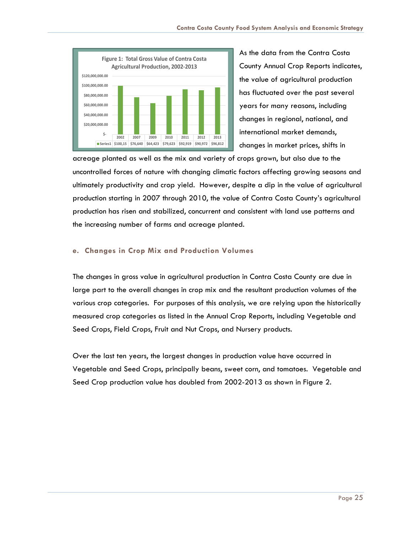

As the data from the Contra Costa County Annual Crop Reports indicates, the value of agricultural production has fluctuated over the past several years for many reasons, including changes in regional, national, and international market demands, changes in market prices, shifts in

acreage planted as well as the mix and variety of crops grown, but also due to the uncontrolled forces of nature with changing climatic factors affecting growing seasons and ultimately productivity and crop yield. However, despite a dip in the value of agricultural production starting in 2007 through 2010, the value of Contra Costa County's agricultural production has risen and stabilized, concurrent and consistent with land use patterns and the increasing number of farms and acreage planted.

#### **e. Changes in Crop Mix and Production Volumes**

The changes in gross value in agricultural production in Contra Costa County are due in large part to the overall changes in crop mix and the resultant production volumes of the various crop categories. For purposes of this analysis, we are relying upon the historically measured crop categories as listed in the Annual Crop Reports, including Vegetable and Seed Crops, Field Crops, Fruit and Nut Crops, and Nursery products.

Over the last ten years, the largest changes in production value have occurred in Vegetable and Seed Crops, principally beans, sweet corn, and tomatoes. Vegetable and Seed Crop production value has doubled from 2002-2013 as shown in Figure 2.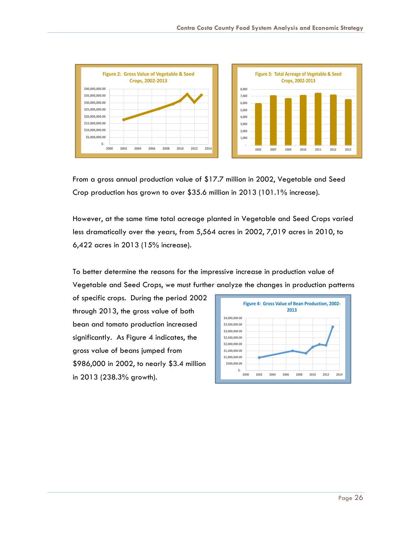

From a gross annual production value of \$17.7 million in 2002, Vegetable and Seed Crop production has grown to over \$35.6 million in 2013 (101.1% increase).

However, at the same time total acreage planted in Vegetable and Seed Crops varied less dramatically over the years, from 5,564 acres in 2002, 7,019 acres in 2010, to 6,422 acres in 2013 (15% increase).

To better determine the reasons for the impressive increase in production value of Vegetable and Seed Crops, we must further analyze the changes in production patterns

of specific crops. During the period 2002 through 2013, the gross value of both bean and tomato production increased significantly. As Figure 4 indicates, the gross value of beans jumped from \$986,000 in 2002, to nearly \$3.4 million in 2013 (238.3% growth).

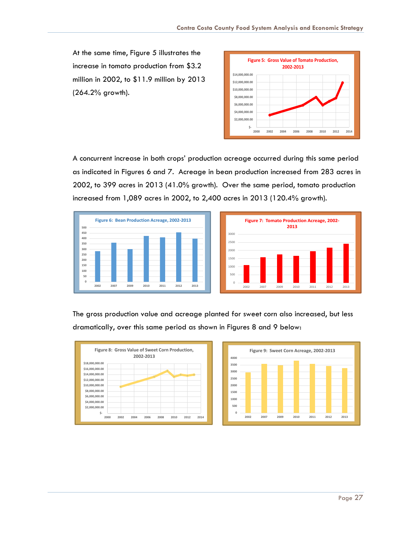At the same time, Figure 5 illustrates the increase in tomato production from \$3.2 million in 2002, to \$11.9 million by 2013 (264.2% growth).



A concurrent increase in both crops' production acreage occurred during this same period as indicated in Figures 6 and 7. Acreage in bean production increased from 283 acres in 2002, to 399 acres in 2013 (41.0% growth). Over the same period, tomato production increased from 1,089 acres in 2002, to 2,400 acres in 2013 (120.4% growth).





The gross production value and acreage planted for sweet corn also increased, but less dramatically, over this same period as shown in Figures 8 and 9 below:



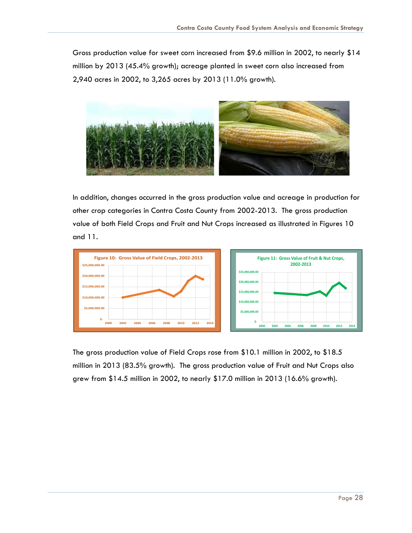Gross production value for sweet corn increased from \$9.6 million in 2002, to nearly \$14 million by 2013 (45.4% growth); acreage planted in sweet corn also increased from 2,940 acres in 2002, to 3,265 acres by 2013 (11.0% growth).



In addition, changes occurred in the gross production value and acreage in production for other crop categories in Contra Costa County from 2002-2013. The gross production value of both Field Crops and Fruit and Nut Crops increased as illustrated in Figures 10 and 11.



The gross production value of Field Crops rose from \$10.1 million in 2002, to \$18.5 million in 2013 (83.5% growth). The gross production value of Fruit and Nut Crops also grew from \$14.5 million in 2002, to nearly \$17.0 million in 2013 (16.6% growth).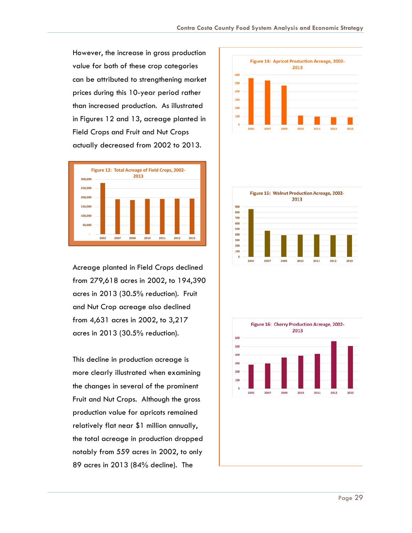However, the increase in gross production value for both of these crop categories can be attributed to strengthening market prices during this 10-year period rather than increased production. As illustrated in Figures 12 and 13, acreage planted in Field Crops and Fruit and Nut Crops actually decreased from 2002 to 2013.



Acreage planted in Field Crops declined from 279,618 acres in 2002, to 194,390 acres in 2013 (30.5% reduction). Fruit and Nut Crop acreage also declined from 4,631 acres in 2002, to 3,217 acres in 2013 (30.5% reduction).

This decline in production acreage is more clearly illustrated when examining the changes in several of the prominent Fruit and Nut Crops. Although the gross production value for apricots remained relatively flat near \$1 million annually, the total acreage in production dropped notably from 559 acres in 2002, to only 89 acres in 2013 (84% decline). The





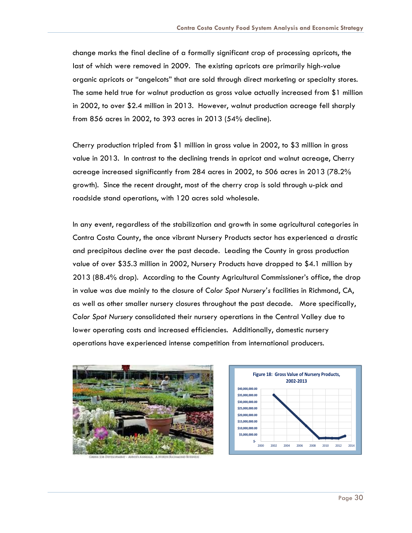change marks the final decline of a formally significant crop of processing apricots, the last of which were removed in 2009. The existing apricots are primarily high-value organic apricots or "angelcots" that are sold through direct marketing or specialty stores. The same held true for walnut production as gross value actually increased from \$1 million in 2002, to over \$2.4 million in 2013. However, walnut production acreage fell sharply from 856 acres in 2002, to 393 acres in 2013 (54% decline).

Cherry production tripled from \$1 million in gross value in 2002, to \$3 million in gross value in 2013. In contrast to the declining trends in apricot and walnut acreage, Cherry acreage increased significantly from 284 acres in 2002, to 506 acres in 2013 (78.2% growth). Since the recent drought, most of the cherry crop is sold through u-pick and roadside stand operations, with 120 acres sold wholesale.

In any event, regardless of the stabilization and growth in some agricultural categories in Contra Costa County, the once vibrant Nursery Products sector has experienced a drastic and precipitous decline over the past decade. Leading the County in gross production value of over \$35.3 million in 2002, Nursery Products have dropped to \$4.1 million by 2013 (88.4% drop). According to the County Agricultural Commissioner's office, the drop in value was due mainly to the closure of *Color Spot Nursery's* facilities in Richmond, CA, as well as other smaller nursery closures throughout the past decade. More specifically, *Color Spot Nursery* consolidated their nursery operations in the Central Valley due to lower operating costs and increased efficiencies. Additionally, domestic nursery operations have experienced intense competition from international producers.



Guni

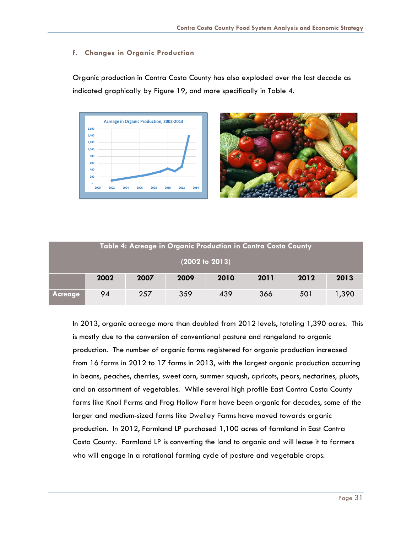#### **f. Changes in Organic Production**

Organic production in Contra Costa County has also exploded over the last decade as indicated graphically by Figure 19, and more specifically in Table 4.





| Table 4: Acreage in Organic Production in Contra Costa County |      |      |      |      |      |      |       |  |
|---------------------------------------------------------------|------|------|------|------|------|------|-------|--|
| (2002 to 2013)                                                |      |      |      |      |      |      |       |  |
|                                                               | 2002 | 2007 | 2009 | 2010 | 2011 | 2012 | 2013  |  |
| <b>Acreage</b>                                                | 94   | 257  | 359  | 439  | 366  | 501  | 1,390 |  |

In 2013, organic acreage more than doubled from 2012 levels, totaling 1,390 acres. This is mostly due to the conversion of conventional pasture and rangeland to organic production. The number of organic farms registered for organic production increased from 16 farms in 2012 to 17 farms in 2013, with the largest organic production occurring in beans, peaches, cherries, sweet corn, summer squash, apricots, pears, nectarines, pluots, and an assortment of vegetables. While several high profile East Contra Costa County farms like Knoll Farms and Frog Hollow Farm have been organic for decades, some of the larger and medium-sized farms like Dwelley Farms have moved towards organic production. In 2012, Farmland LP purchased 1,100 acres of farmland in East Contra Costa County. Farmland LP is converting the land to organic and will lease it to farmers who will engage in a rotational farming cycle of pasture and vegetable crops.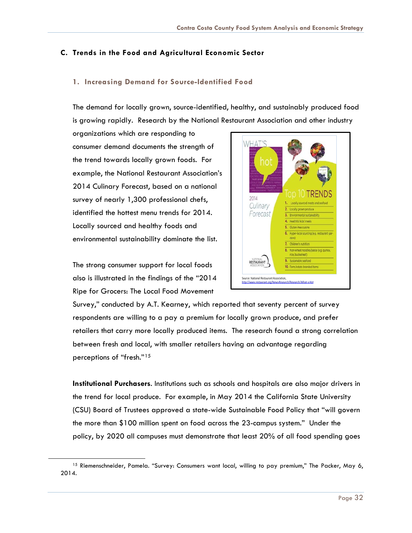#### <span id="page-32-0"></span>**C. Trends in the Food and Agricultural Economic Sector**

#### **1. Increasing Demand for Source-Identified Food**

The demand for locally grown, source-identified, healthy, and sustainably produced food is growing rapidly. Research by the National Restaurant Association and other industry

organizations which are responding to consumer demand documents the strength of the trend towards locally grown foods. For example, the National Restaurant Association's 2014 Culinary Forecast, based on a national survey of nearly 1,300 professional chefs, identified the hottest menu trends for 2014. Locally sourced and healthy foods and environmental sustainability dominate the list.

The strong consumer support for local foods also is illustrated in the findings of the "2014 Ripe for Grocers: The Local Food Movement

<span id="page-32-1"></span> $\overline{a}$ 



Survey," conducted by A.T. Kearney, which reported that seventy percent of survey respondents are willing to a pay a premium for locally grown produce, and prefer retailers that carry more locally produced items. The research found a strong correlation between fresh and local, with smaller retailers having an advantage regarding perceptions of "fresh."[15](#page-32-1)

**Institutional Purchasers**. Institutions such as schools and hospitals are also major drivers in the trend for local produce. For example, in May 2014 the California State University (CSU) Board of Trustees approved a state-wide Sustainable Food Policy that "will govern the more than \$100 million spent on food across the 23-campus system." Under the policy, by 2020 all campuses must demonstrate that least 20% of all food spending goes

<sup>15</sup> Riemenschneider, Pamela. "Survey: Consumers want local, willing to pay premium," The Packer, May 6, 2014.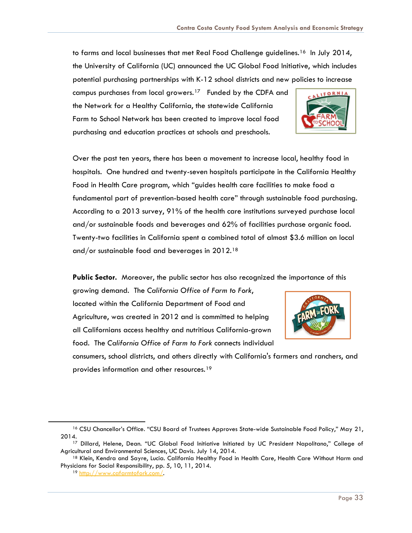to farms and local businesses that met Real Food Challenge guidelines.<sup>[16](#page-33-0)</sup> In July 2014, the University of California (UC) announced the UC Global Food Initiative, which includes potential purchasing partnerships with K-12 school districts and new policies to increase

campus purchases from local growers.<sup>17</sup> Funded by the CDFA and the Network for a Healthy California, the statewide California Farm to School Network has been created to improve local food purchasing and education practices at schools and preschools.



Over the past ten years, there has been a movement to increase local, healthy food in hospitals. One hundred and twenty-seven hospitals participate in the California Healthy Food in Health Care program, which "guides health care facilities to make food a fundamental part of prevention-based health care" through sustainable food purchasing. According to a 2013 survey, 91% of the health care institutions surveyed purchase local and/or sustainable foods and beverages and 62% of facilities purchase organic food. Twenty-two facilities in California spent a combined total of almost \$3.6 million on local and/or sustainable food and beverages in 2012.[18](#page-33-2) 

**Public Sector.** Moreover, the public sector has also recognized the importance of this

growing demand. The *California Office of Farm to Fork*, located within the California Department of Food and Agriculture, was created in 2012 and is committed to helping all Californians access healthy and nutritious California-grown food. The *California Office of Farm to Fork* connects individual



consumers, school districts, and others directly with California's farmers and ranchers, and provides information and other resources.<sup>[19](#page-33-3)</sup>

<span id="page-33-0"></span><sup>16</sup> CSU Chancellor's Office. "CSU Board of Trustees Approves State-wide Sustainable Food Policy," May 21, 2014.

<span id="page-33-1"></span><sup>17</sup> Dillard, Helene, Dean. "UC Global Food Initiative Initiated by UC President Napolitano," College of Agricultural and Environmental Sciences, UC Davis. July 14, 2014.

<span id="page-33-3"></span><span id="page-33-2"></span><sup>&</sup>lt;sup>18</sup> Klein, Kendra and Sayre, Lucia. California Healthy Food in Health Care, Health Care Without Harm and Physicians for Social Responsibility, pp. 5, 10, 11, 2014.

<sup>19</sup> [http://www.cafarmtofork.com/.](http://www.cafarmtofork.com/)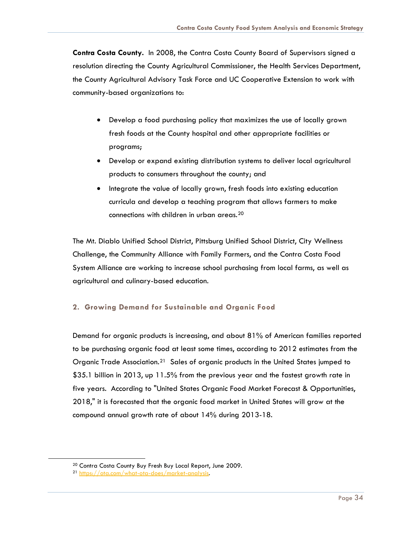**Contra Costa County.** In 2008, the Contra Costa County Board of Supervisors signed a resolution directing the County Agricultural Commissioner, the Health Services Department, the County Agricultural Advisory Task Force and UC Cooperative Extension to work with community-based organizations to:

- Develop a food purchasing policy that maximizes the use of locally grown fresh foods at the County hospital and other appropriate facilities or programs;
- Develop or expand existing distribution systems to deliver local agricultural products to consumers throughout the county; and
- Integrate the value of locally grown, fresh foods into existing education curricula and develop a teaching program that allows farmers to make connections with children in urban areas.[20](#page-34-0)

The Mt. Diablo Unified School District, Pittsburg Unified School District, City Wellness Challenge, the Community Alliance with Family Farmers, and the Contra Costa Food System Alliance are working to increase school purchasing from local farms, as well as agricultural and culinary-based education.

#### **2. Growing Demand for Sustainable and Organic Food**

Demand for organic products is increasing, and about 81% of American families reported to be purchasing organic food at least some times, according to 2012 estimates from the Organic Trade Association.<sup>[21](#page-34-1)</sup> Sales of organic products in the United States jumped to \$35.1 billion in 2013, up 11.5% from the previous year and the fastest growth rate in five years. According to "United States Organic Food Market Forecast & Opportunities, 2018," it is forecasted that the organic food market in United States will grow at the compound annual growth rate of about 14% during 2013-18.

<sup>20</sup> Contra Costa County Buy Fresh Buy Local Report, June 2009.

<span id="page-34-1"></span><span id="page-34-0"></span><sup>21</sup> [https://ota.com/what-ota-does/market-analysis.](https://ota.com/what-ota-does/market-analysis)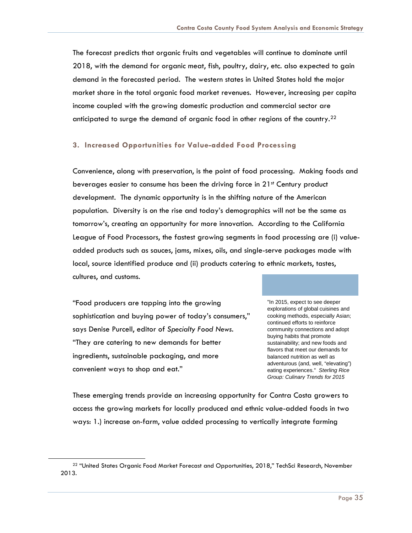The forecast predicts that organic fruits and vegetables will continue to dominate until 2018, with the demand for organic meat, fish, poultry, dairy, etc. also expected to gain demand in the forecasted period. The western states in United States hold the major market share in the total organic food market revenues. However, increasing per capita income coupled with the growing domestic production and commercial sector are anticipated to surge the demand of organic food in other regions of the country.<sup>[22](#page-35-0)</sup>

#### **3. Increased Opportunities for Value-added Food Processing**

Convenience, along with preservation, is the point of food processing. Making foods and beverages easier to consume has been the driving force in 21<sup>st</sup> Century product development. The dynamic opportunity is in the shifting nature of the American population. Diversity is on the rise and today's demographics will not be the same as tomorrow's, creating an opportunity for more innovation. According to the California League of Food Processors, the fastest growing segments in food processing are (i) valueadded products such as sauces, jams, mixes, oils, and single-serve packages made with local, source identified produce and (ii) products catering to ethnic markets, tastes, cultures, and customs.

"Food producers are tapping into the growing sophistication and buying power of today's consumers," says Denise Purcell, editor of *Specialty Food News*. "They are catering to new demands for better ingredients, sustainable packaging, and more convenient ways to shop and eat."

<span id="page-35-0"></span> $\overline{a}$ 

"In 2015, expect to see deeper explorations of global cuisines and cooking methods, especially Asian; continued efforts to reinforce community connections and adopt buying habits that promote sustainability; and new foods and flavors that meet our demands for balanced nutrition as well as adventurous (and, well, "elevating") eating experiences." *Sterling Rice Group: Culinary Trends for 2015*

These emerging trends provide an increasing opportunity for Contra Costa growers to access the growing markets for locally produced and ethnic value-added foods in two ways: 1.) increase on-farm, value added processing to vertically integrate farming

<sup>&</sup>lt;sup>22</sup> "United States Organic Food Market Forecast and Opportunities, 2018," TechSci Research, November 2013.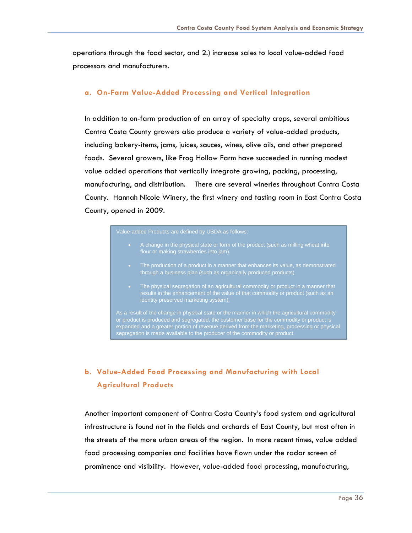operations through the food sector, and 2.) increase sales to local value-added food processors and manufacturers.

#### **a. On-Farm Value-Added Processing and Vertical Integration**

In addition to on-farm production of an array of specialty crops, several ambitious Contra Costa County growers also produce a variety of value-added products, including bakery-items, jams, juices, sauces, wines, olive oils, and other prepared foods. Several growers, like Frog Hollow Farm have succeeded in running modest value added operations that vertically integrate growing, packing, processing, manufacturing, and distribution. There are several wineries throughout Contra Costa County. Hannah Nicole Winery, the first winery and tasting room in East Contra Costa County, opened in 2009.

- A change in the physical state or form of the product (such as milling wheat into flour or making strawberries into jam).
- The production of a product in a manner that enhances its value, as demonstrated through a business plan (such as organically produced products).
- The physical segregation of an agricultural commodity or product in a manner that results in the enhancement of the value of that commodity or product (such as an identity preserved marketing system).

As a result of the change in physical state or the manner in which the agricultural commodity or product is produced and segregated, the customer base for the commodity or product is expanded and a greater portion of revenue derived from the marketing, processing or physical segregation is made available to the producer of the commodity or product.

### **b. Value-Added Food Processing and Manufacturing with Local Agricultural Products**

Another important component of Contra Costa County's food system and agricultural infrastructure is found not in the fields and orchards of East County, but most often in the streets of the more urban areas of the region. In more recent times, value added food processing companies and facilities have flown under the radar screen of prominence and visibility. However, value-added food processing, manufacturing,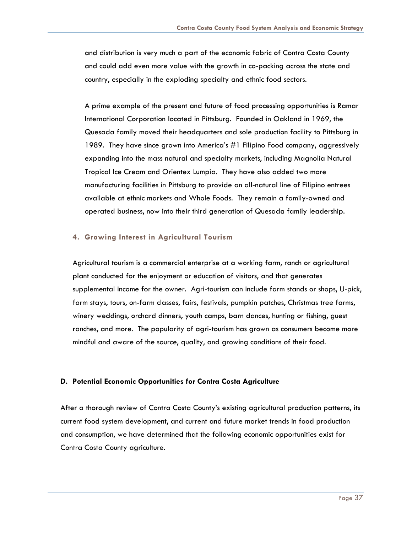and distribution is very much a part of the economic fabric of Contra Costa County and could add even more value with the growth in co-packing across the state and country, especially in the exploding specialty and ethnic food sectors.

A prime example of the present and future of food processing opportunities is Ramar International Corporation located in Pittsburg. Founded in Oakland in 1969, the Quesada family moved their headquarters and sole production facility to Pittsburg in 1989. They have since grown into America's #1 Filipino Food company, aggressively expanding into the mass natural and specialty markets, including Magnolia Natural Tropical Ice Cream and Orientex Lumpia. They have also added two more manufacturing facilities in Pittsburg to provide an all-natural line of Filipino entrees available at ethnic markets and Whole Foods. They remain a family-owned and operated business, now into their third generation of Quesada family leadership.

#### **4. Growing Interest in Agricultural Tourism**

Agricultural tourism is a commercial enterprise at a working farm, ranch or agricultural plant conducted for the enjoyment or education of visitors, and that generates supplemental income for the owner. Agri-tourism can include farm stands or shops, U-pick, farm stays, tours, on-farm classes, fairs, festivals, pumpkin patches, Christmas tree farms, winery weddings, orchard dinners, youth camps, barn dances, hunting or fishing, guest ranches, and more. The popularity of agri-tourism has grown as consumers become more mindful and aware of the source, quality, and growing conditions of their food.

#### **D. Potential Economic Opportunities for Contra Costa Agriculture**

After a thorough review of Contra Costa County's existing agricultural production patterns, its current food system development, and current and future market trends in food production and consumption, we have determined that the following economic opportunities exist for Contra Costa County agriculture.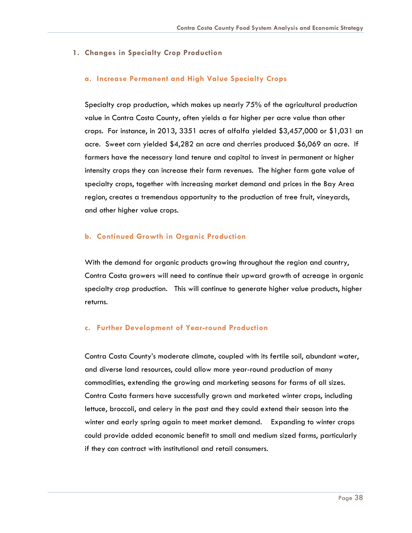#### **1. Changes in Specialty Crop Production**

#### **a. Increase Permanent and High Value Specialty Crops**

Specialty crop production, which makes up nearly 75% of the agricultural production value in Contra Costa County, often yields a far higher per acre value than other crops. For instance, in 2013, 3351 acres of alfalfa yielded \$3,457,000 or \$1,031 an acre. Sweet corn yielded \$4,282 an acre and cherries produced \$6,069 an acre. If farmers have the necessary land tenure and capital to invest in permanent or higher intensity crops they can increase their farm revenues. The higher farm gate value of specialty crops, together with increasing market demand and prices in the Bay Area region, creates a tremendous opportunity to the production of tree fruit, vineyards, and other higher value crops.

#### **b. Continued Growth in Organic Production**

With the demand for organic products growing throughout the region and country, Contra Costa growers will need to continue their upward growth of acreage in organic specialty crop production. This will continue to generate higher value products, higher returns.

#### **c. Further Development of Year-round Production**

Contra Costa County's moderate climate, coupled with its fertile soil, abundant water, and diverse land resources, could allow more year-round production of many commodities, extending the growing and marketing seasons for farms of all sizes. Contra Costa farmers have successfully grown and marketed winter crops, including lettuce, broccoli, and celery in the past and they could extend their season into the winter and early spring again to meet market demand. Expanding to winter crops could provide added economic benefit to small and medium sized farms, particularly if they can contract with institutional and retail consumers.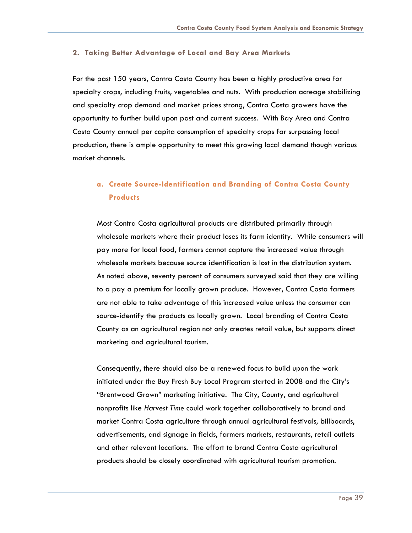#### **2. Taking Better Advantage of Local and Bay Area Markets**

For the past 150 years, Contra Costa County has been a highly productive area for specialty crops, including fruits, vegetables and nuts. With production acreage stabilizing and specialty crop demand and market prices strong, Contra Costa growers have the opportunity to further build upon past and current success. With Bay Area and Contra Costa County annual per capita consumption of specialty crops far surpassing local production, there is ample opportunity to meet this growing local demand though various market channels.

### **a. Create Source-Identification and Branding of Contra Costa County Products**

Most Contra Costa agricultural products are distributed primarily through wholesale markets where their product loses its farm identity. While consumers will pay more for local food, farmers cannot capture the increased value through wholesale markets because source identification is lost in the distribution system. As noted above, seventy percent of consumers surveyed said that they are willing to a pay a premium for locally grown produce. However, Contra Costa farmers are not able to take advantage of this increased value unless the consumer can source-identify the products as locally grown. Local branding of Contra Costa County as an agricultural region not only creates retail value, but supports direct marketing and agricultural tourism.

Consequently, there should also be a renewed focus to build upon the work initiated under the Buy Fresh Buy Local Program started in 2008 and the City's "Brentwood Grown" marketing initiative. The City, County, and agricultural nonprofits like *Harvest Time* could work together collaboratively to brand and market Contra Costa agriculture through annual agricultural festivals, billboards, advertisements, and signage in fields, farmers markets, restaurants, retail outlets and other relevant locations. The effort to brand Contra Costa agricultural products should be closely coordinated with agricultural tourism promotion.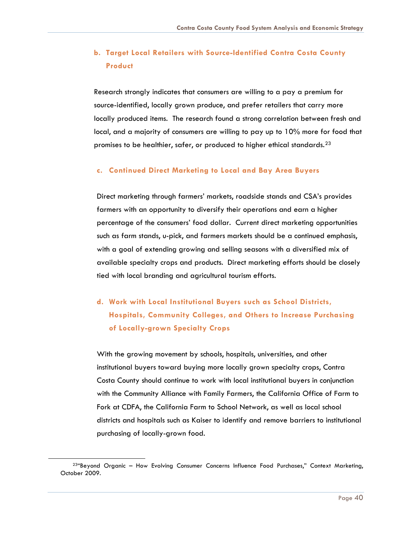### **b. Target Local Retailers with Source-Identified Contra Costa County Product**

Research strongly indicates that consumers are willing to a pay a premium for source-identified, locally grown produce, and prefer retailers that carry more locally produced items. The research found a strong correlation between fresh and local, and a majority of consumers are willing to pay up to 10% more for food that promises to be healthier, safer, or produced to higher ethical standards.[23](#page-40-0)

#### **c. Continued Direct Marketing to Local and Bay Area Buyers**

Direct marketing through farmers' markets, roadside stands and CSA's provides farmers with an opportunity to diversify their operations and earn a higher percentage of the consumers' food dollar. Current direct marketing opportunities such as farm stands, u-pick, and farmers markets should be a continued emphasis, with a goal of extending growing and selling seasons with a diversified mix of available specialty crops and products. Direct marketing efforts should be closely tied with local branding and agricultural tourism efforts.

**d. Work with Local Institutional Buyers such as School Districts, Hospitals, Community Colleges, and Others to Increase Purchasing of Locally-grown Specialty Crops**

With the growing movement by schools, hospitals, universities, and other institutional buyers toward buying more locally grown specialty crops, Contra Costa County should continue to work with local institutional buyers in conjunction with the Community Alliance with Family Farmers, the California Office of Farm to Fork at CDFA, the California Farm to School Network, as well as local school districts and hospitals such as Kaiser to identify and remove barriers to institutional purchasing of locally-grown food.

<span id="page-40-0"></span><sup>&</sup>lt;sup>234</sup>Beyond Organic - How Evolving Consumer Concerns Influence Food Purchases," Context Marketing, October 2009.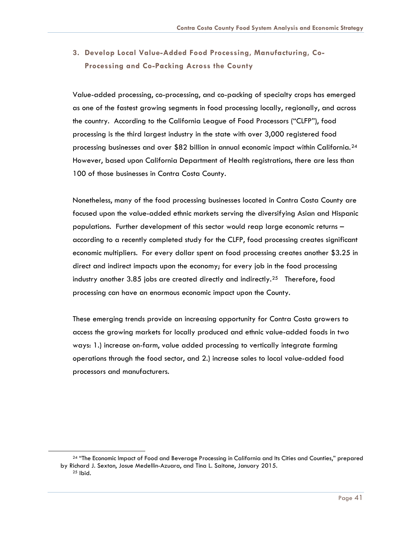### **3. Develop Local Value-Added Food Processing, Manufacturing, Co-Processing and Co-Packing Across the County**

Value-added processing, co-processing, and co-packing of specialty crops has emerged as one of the fastest growing segments in food processing locally, regionally, and across the country. According to the California League of Food Processors ("CLFP"), food processing is the third largest industry in the state with over 3,000 registered food processing businesses and over \$82 billion in annual economic impact within California.[24](#page-41-0) However, based upon California Department of Health registrations, there are less than 100 of those businesses in Contra Costa County.

Nonetheless, many of the food processing businesses located in Contra Costa County are focused upon the value-added ethnic markets serving the diversifying Asian and Hispanic populations. Further development of this sector would reap large economic returns – according to a recently completed study for the CLFP, food processing creates significant economic multipliers. For every dollar spent on food processing creates another \$3.25 in direct and indirect impacts upon the economy; for every job in the food processing industry another 3.85 jobs are created directly and indirectly.<sup>[25](#page-41-1)</sup> Therefore, food processing can have an enormous economic impact upon the County.

These emerging trends provide an increasing opportunity for Contra Costa growers to access the growing markets for locally produced and ethnic value-added foods in two ways: 1.) increase on-farm, value added processing to vertically integrate farming operations through the food sector, and 2.) increase sales to local value-added food processors and manufacturers.

<span id="page-41-1"></span><span id="page-41-0"></span>

<sup>&</sup>lt;sup>24</sup> "The Economic Impact of Food and Beverage Processing in California and Its Cities and Counties," prepared by Richard J. Sexton, Josue Medellin-Azuara, and Tina L. Saitone, January 2015.  $25$  lbid.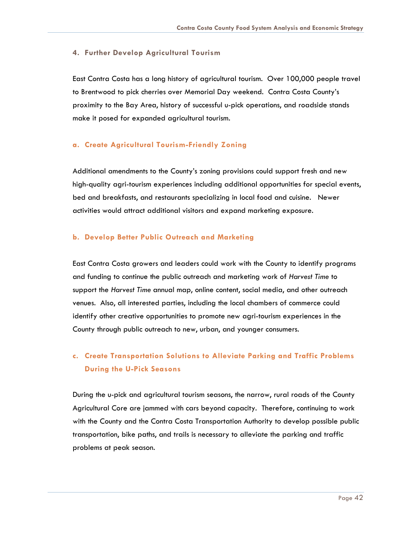#### **4. Further Develop Agricultural Tourism**

East Contra Costa has a long history of agricultural tourism. Over 100,000 people travel to Brentwood to pick cherries over Memorial Day weekend. Contra Costa County's proximity to the Bay Area, history of successful u-pick operations, and roadside stands make it posed for expanded agricultural tourism.

#### **a. Create Agricultural Tourism-Friendly Zoning**

Additional amendments to the County's zoning provisions could support fresh and new high-quality agri-tourism experiences including additional opportunities for special events, bed and breakfasts, and restaurants specializing in local food and cuisine. Newer activities would attract additional visitors and expand marketing exposure.

#### **b. Develop Better Public Outreach and Marketing**

East Contra Costa growers and leaders could work with the County to identify programs and funding to continue the public outreach and marketing work of *Harvest Time* to support the *Harvest Time* annual map, online content, social media, and other outreach venues. Also, all interested parties, including the local chambers of commerce could identify other creative opportunities to promote new agri-tourism experiences in the County through public outreach to new, urban, and younger consumers.

### **c. Create Transportation Solutions to Alleviate Parking and Traffic Problems During the U-Pick Seasons**

During the u-pick and agricultural tourism seasons, the narrow, rural roads of the County Agricultural Core are jammed with cars beyond capacity. Therefore, continuing to work with the County and the Contra Costa Transportation Authority to develop possible public transportation, bike paths, and trails is necessary to alleviate the parking and traffic problems at peak season.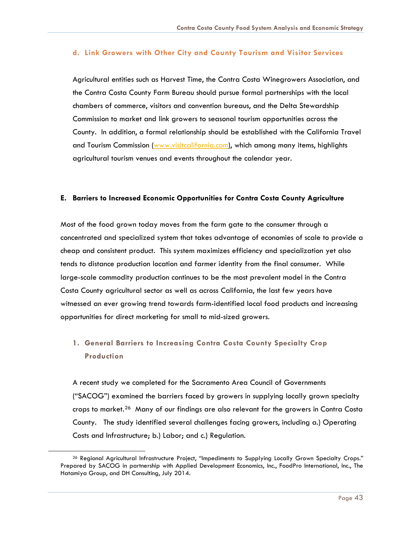#### **d. Link Growers with Other City and County Tourism and Visitor Services**

Agricultural entities such as Harvest Time, the Contra Costa Winegrowers Association, and the Contra Costa County Farm Bureau should pursue formal partnerships with the local chambers of commerce, visitors and convention bureaus, and the Delta Stewardship Commission to market and link growers to seasonal tourism opportunities across the County. In addition, a formal relationship should be established with the California Travel and Tourism Commission [\(www.visitcalifornia.com\)](http://www.visitcalifornia.com/), which among many items, highlights agricultural tourism venues and events throughout the calendar year.

#### **E. Barriers to Increased Economic Opportunities for Contra Costa County Agriculture**

Most of the food grown today moves from the farm gate to the consumer through a concentrated and specialized system that takes advantage of economies of scale to provide a cheap and consistent product. This system maximizes efficiency and specialization yet also tends to distance production location and farmer identity from the final consumer. While large-scale commodity production continues to be the most prevalent model in the Contra Costa County agricultural sector as well as across California, the last few years have witnessed an ever growing trend towards farm-identified local food products and increasing opportunities for direct marketing for small to mid-sized growers.

### **1. General Barriers to Increasing Contra Costa County Specialty Crop Production**

A recent study we completed for the Sacramento Area Council of Governments ("SACOG") examined the barriers faced by growers in supplying locally grown specialty crops to market.[26](#page-43-0) Many of our findings are also relevant for the growers in Contra Costa County. The study identified several challenges facing growers, including a.) Operating Costs and Infrastructure; b.) Labor; and c.) Regulation.

<span id="page-43-0"></span>

<sup>&</sup>lt;sup>26</sup> Regional Agricultural Infrastructure Project, "Impediments to Supplying Locally Grown Specialty Crops." Prepared by SACOG in partnership with Applied Development Economics, Inc., FoodPro International, Inc., The Hatamiya Group, and DH Consulting, July 2014.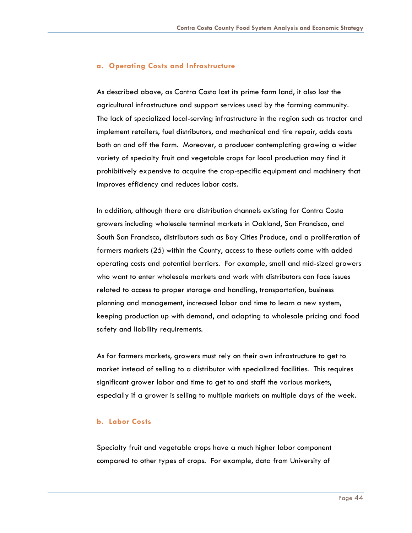#### **a. Operating Costs and Infrastructure**

As described above, as Contra Costa lost its prime farm land, it also lost the agricultural infrastructure and support services used by the farming community. The lack of specialized local-serving infrastructure in the region such as tractor and implement retailers, fuel distributors, and mechanical and tire repair, adds costs both on and off the farm. Moreover, a producer contemplating growing a wider variety of specialty fruit and vegetable crops for local production may find it prohibitively expensive to acquire the crop-specific equipment and machinery that improves efficiency and reduces labor costs.

In addition, although there are distribution channels existing for Contra Costa growers including wholesale terminal markets in Oakland, San Francisco, and South San Francisco, distributors such as Bay Cities Produce, and a proliferation of farmers markets (25) within the County, access to these outlets come with added operating costs and potential barriers. For example, small and mid-sized growers who want to enter wholesale markets and work with distributors can face issues related to access to proper storage and handling, transportation, business planning and management, increased labor and time to learn a new system, keeping production up with demand, and adapting to wholesale pricing and food safety and liability requirements.

As for farmers markets, growers must rely on their own infrastructure to get to market instead of selling to a distributor with specialized facilities. This requires significant grower labor and time to get to and staff the various markets, especially if a grower is selling to multiple markets on multiple days of the week.

#### **b. Labor Costs**

Specialty fruit and vegetable crops have a much higher labor component compared to other types of crops. For example, data from University of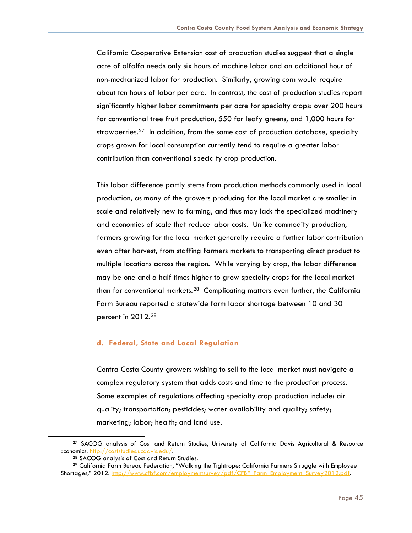California Cooperative Extension cost of production studies suggest that a single acre of alfalfa needs only six hours of machine labor and an additional hour of non-mechanized labor for production. Similarly, growing corn would require about ten hours of labor per acre. In contrast, the cost of production studies report significantly higher labor commitments per acre for specialty crops: over 200 hours for conventional tree fruit production, 550 for leafy greens, and 1,000 hours for strawberries.<sup>[27](#page-45-0)</sup> In addition, from the same cost of production database, specialty crops grown for local consumption currently tend to require a greater labor contribution than conventional specialty crop production.

This labor difference partly stems from production methods commonly used in local production, as many of the growers producing for the local market are smaller in scale and relatively new to farming, and thus may lack the specialized machinery and economies of scale that reduce labor costs. Unlike commodity production, farmers growing for the local market generally require a further labor contribution even after harvest, from staffing farmers markets to transporting direct product to multiple locations across the region. While varying by crop, the labor difference may be one and a half times higher to grow specialty crops for the local market than for conventional markets.<sup>[28](#page-45-1)</sup> Complicating matters even further, the California Farm Bureau reported a statewide farm labor shortage between 10 and 30 percent in 2012.[29](#page-45-2)

#### **d. Federal, State and Local Regulation**

Contra Costa County growers wishing to sell to the local market must navigate a complex regulatory system that adds costs and time to the production process. Some examples of regulations affecting specialty crop production include: air quality; transportation; pesticides; water availability and quality; safety; marketing; labor; health; and land use.

<span id="page-45-0"></span><sup>27</sup> SACOG analysis of Cost and Return Studies, University of California Davis Agricultural & Resource Economics. [http://coststudies.ucdavis.edu/.](http://coststudies.ucdavis.edu/)

<sup>28</sup> SACOG analysis of Cost and Return Studies.

<span id="page-45-2"></span><span id="page-45-1"></span><sup>&</sup>lt;sup>29</sup> California Farm Bureau Federation, "Walking the Tightrope: California Farmers Struggle with Employee Shortages," 2012. [http://www.cfbf.com/employmentsurvey/pdf/CFBF\\_Farm\\_Employment\\_Survey2012.pdf.](http://www.cfbf.com/employmentsurvey/pdf/CFBF_Farm_Employment_Survey2012.pdf)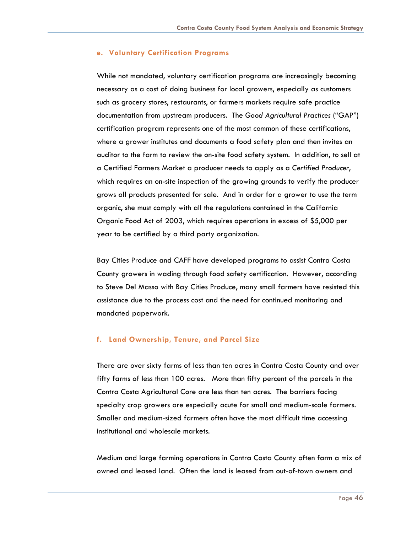#### **e. Voluntary Certification Programs**

While not mandated, voluntary certification programs are increasingly becoming necessary as a cost of doing business for local growers, especially as customers such as grocery stores, restaurants, or farmers markets require safe practice documentation from upstream producers. The *Good Agricultural Practices* ("GAP") certification program represents one of the most common of these certifications, where a grower institutes and documents a food safety plan and then invites an auditor to the farm to review the on-site food safety system. In addition, to sell at a Certified Farmers Market a producer needs to apply as a *Certified Producer*, which requires an on-site inspection of the growing grounds to verify the producer grows all products presented for sale. And in order for a grower to use the term organic, she must comply with all the regulations contained in the California Organic Food Act of 2003, which requires operations in excess of \$5,000 per year to be certified by a third party organization.

Bay Cities Produce and CAFF have developed programs to assist Contra Costa County growers in wading through food safety certification. However, according to Steve Del Masso with Bay Cities Produce, many small farmers have resisted this assistance due to the process cost and the need for continued monitoring and mandated paperwork.

#### **f. Land Ownership, Tenure, and Parcel Size**

There are over sixty farms of less than ten acres in Contra Costa County and over fifty farms of less than 100 acres. More than fifty percent of the parcels in the Contra Costa Agricultural Core are less than ten acres. The barriers facing specialty crop growers are especially acute for small and medium-scale farmers. Smaller and medium-sized farmers often have the most difficult time accessing institutional and wholesale markets.

Medium and large farming operations in Contra Costa County often farm a mix of owned and leased land. Often the land is leased from out-of-town owners and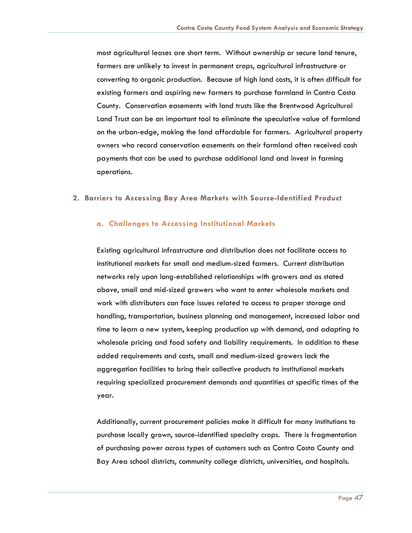most agricultural leases are short term. Without ownership or secure land tenure, farmers are unlikely to invest in permanent crops, agricultural infrastructure or converting to organic production. Because of high land costs, it is often difficult for existing farmers and aspiring new farmers to purchase farmland in Contra Costa County. Conservation easements with land trusts like the Brentwood Agricultural Land Trust can be an important tool to eliminate the speculative value of farmland on the urban-edge, making the land affordable for farmers. Agricultural property owners who record conservation easements on their farmland often received cash payments that can be used to purchase additional land and invest in farming operations.

#### **2. Barriers to Accessing Bay Area Markets with Source-Identified Product**

#### **a. Challenges to Accessing Institutional Markets**

Existing agricultural infrastructure and distribution does not facilitate access to institutional markets for small and medium-sized farmers. Current distribution networks rely upon long-established relationships with growers and as stated above, small and mid-sized growers who want to enter wholesale markets and work with distributors can face issues related to access to proper storage and handling, transportation, business planning and management, increased labor and time to learn a new system, keeping production up with demand, and adapting to wholesale pricing and food safety and liability requirements. In addition to these added requirements and costs, small and medium-sized growers lack the aggregation facilities to bring their collective products to institutional markets requiring specialized procurement demands and quantities at specific times of the year.

Additionally, current procurement policies make it difficult for many institutions to purchase locally grown, source-identified specialty crops. There is fragmentation of purchasing power across types of customers such as Contra Costa County and Bay Area school districts, community college districts, universities, and hospitals.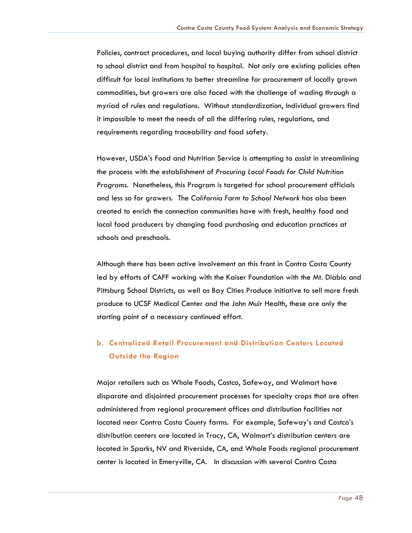Policies, contract procedures, and local buying authority differ from school district to school district and from hospital to hospital. Not only are existing policies often difficult for local institutions to better streamline for procurement of locally grown commodities, but growers are also faced with the challenge of wading through a myriad of rules and regulations. Without standardization, Individual growers find it impossible to meet the needs of all the differing rules, regulations, and requirements regarding traceability and food safety.

However, USDA's Food and Nutrition Service is attempting to assist in streamlining the process with the establishment of *Procuring Local Foods for Child Nutrition Programs*. Nonetheless, this Program is targeted for school procurement officials and less so for growers. The *California Farm to School Network* has also been created to enrich the connection communities have with fresh, healthy food and local food producers by changing food purchasing and education practices at schools and preschools.

Although there has been active involvement on this front in Contra Costa County led by efforts of CAFF working with the Kaiser Foundation with the Mt. Diablo and Pittsburg School Districts, as well as Bay Cities Produce initiative to sell more fresh produce to UCSF Medical Center and the John Muir Health, these are only the starting point of a necessary continued effort.

### **b. Centralized Retail Procurement and Distribution Centers Located Outside the Region**

Major retailers such as Whole Foods, Costco, Safeway, and Walmart have disparate and disjointed procurement processes for specialty crops that are often administered from regional procurement offices and distribution facilities not located near Contra Costa County farms. For example, Safeway's and Costco's distribution centers are located in Tracy, CA, Walmart's distribution centers are located in Sparks, NV and Riverside, CA, and Whole Foods regional procurement center is located in Emeryville, CA. In discussion with several Contra Costa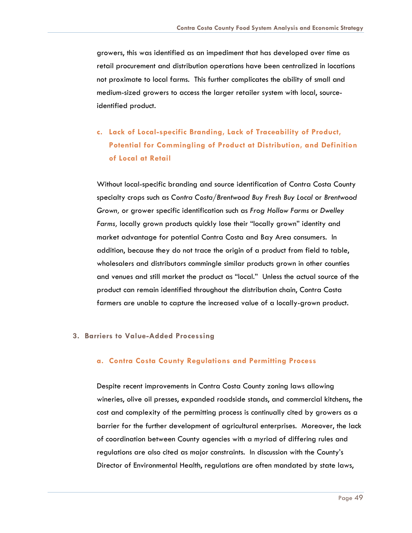growers, this was identified as an impediment that has developed over time as retail procurement and distribution operations have been centralized in locations not proximate to local farms. This further complicates the ability of small and medium-sized growers to access the larger retailer system with local, sourceidentified product.

**c. Lack of Local-specific Branding, Lack of Traceability of Product, Potential for Commingling of Product at Distribution, and Definition of Local at Retail**

Without local-specific branding and source identification of Contra Costa County specialty crops such as *Contra Costa/Brentwood Buy Fresh Buy Local* or *Brentwood Grown,* or grower specific identification such as *Frog Hollow Farms* or *Dwelley Farms,* locally grown products quickly lose their "locally grown" identity and market advantage for potential Contra Costa and Bay Area consumers. In addition, because they do not trace the origin of a product from field to table, wholesalers and distributors commingle similar products grown in other counties and venues and still market the product as "local." Unless the actual source of the product can remain identified throughout the distribution chain, Contra Costa farmers are unable to capture the increased value of a locally-grown product.

#### **3. Barriers to Value-Added Processing**

#### **a. Contra Costa County Regulations and Permitting Process**

Despite recent improvements in Contra Costa County zoning laws allowing wineries, olive oil presses, expanded roadside stands, and commercial kitchens, the cost and complexity of the permitting process is continually cited by growers as a barrier for the further development of agricultural enterprises. Moreover, the lack of coordination between County agencies with a myriad of differing rules and regulations are also cited as major constraints. In discussion with the County's Director of Environmental Health, regulations are often mandated by state laws,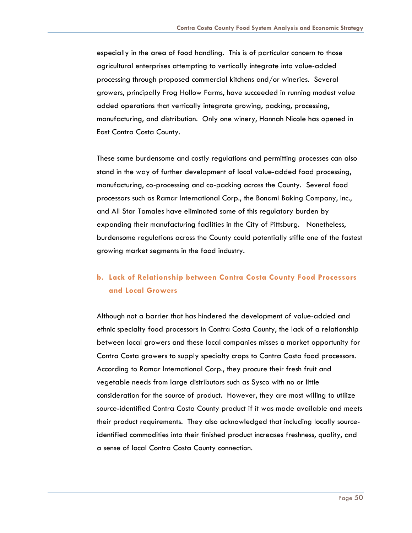especially in the area of food handling. This is of particular concern to those agricultural enterprises attempting to vertically integrate into value-added processing through proposed commercial kitchens and/or wineries. Several growers, principally Frog Hollow Farms, have succeeded in running modest value added operations that vertically integrate growing, packing, processing, manufacturing, and distribution. Only one winery, Hannah Nicole has opened in East Contra Costa County.

These same burdensome and costly regulations and permitting processes can also stand in the way of further development of local value-added food processing, manufacturing, co-processing and co-packing across the County. Several food processors such as Ramar International Corp., the Bonami Baking Company, Inc., and All Star Tamales have eliminated some of this regulatory burden by expanding their manufacturing facilities in the City of Pittsburg. Nonetheless, burdensome regulations across the County could potentially stifle one of the fastest growing market segments in the food industry.

### **b. Lack of Relationship between Contra Costa County Food Processors and Local Growers**

Although not a barrier that has hindered the development of value-added and ethnic specialty food processors in Contra Costa County, the lack of a relationship between local growers and these local companies misses a market opportunity for Contra Costa growers to supply specialty crops to Contra Costa food processors. According to Ramar International Corp., they procure their fresh fruit and vegetable needs from large distributors such as Sysco with no or little consideration for the source of product. However, they are most willing to utilize source-identified Contra Costa County product if it was made available and meets their product requirements. They also acknowledged that including locally sourceidentified commodities into their finished product increases freshness, quality, and a sense of local Contra Costa County connection.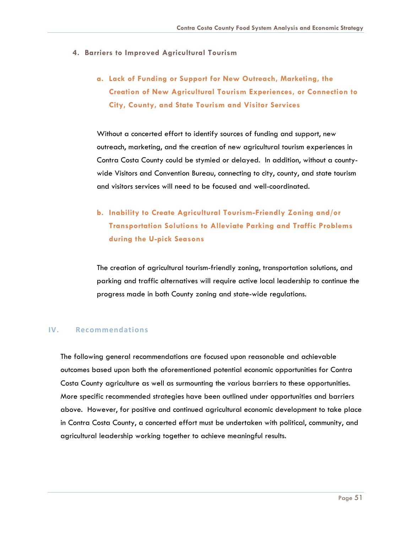#### **4. Barriers to Improved Agricultural Tourism**

### **a. Lack of Funding or Support for New Outreach, Marketing, the Creation of New Agricultural Tourism Experiences, or Connection to City, County, and State Tourism and Visitor Services**

Without a concerted effort to identify sources of funding and support, new outreach, marketing, and the creation of new agricultural tourism experiences in Contra Costa County could be stymied or delayed. In addition, without a countywide Visitors and Convention Bureau, connecting to city, county, and state tourism and visitors services will need to be focused and well-coordinated.

### **b. Inability to Create Agricultural Tourism-Friendly Zoning and/or Transportation Solutions to Alleviate Parking and Traffic Problems during the U-pick Seasons**

The creation of agricultural tourism-friendly zoning, transportation solutions, and parking and traffic alternatives will require active local leadership to continue the progress made in both County zoning and state-wide regulations.

#### <span id="page-51-0"></span>**IV. Recommendations**

The following general recommendations are focused upon reasonable and achievable outcomes based upon both the aforementioned potential economic opportunities for Contra Costa County agriculture as well as surmounting the various barriers to these opportunities. More specific recommended strategies have been outlined under opportunities and barriers above. However, for positive and continued agricultural economic development to take place in Contra Costa County, a concerted effort must be undertaken with political, community, and agricultural leadership working together to achieve meaningful results.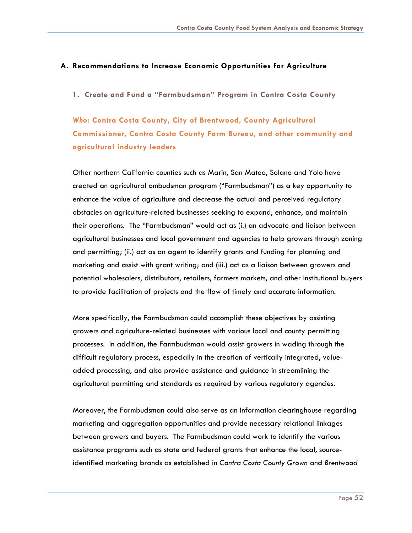#### **A. Recommendations to Increase Economic Opportunities for Agriculture**

**1. Create and Fund a "Farmbudsman" Program in Contra Costa County**

*Who***: Contra Costa County, City of Brentwood, County Agricultural Commissioner, Contra Costa County Farm Bureau, and other community and agricultural industry leaders**

Other northern California counties such as Marin, San Mateo, Solano and Yolo have created an agricultural ombudsman program ("Farmbudsman") as a key opportunity to enhance the value of agriculture and decrease the actual and perceived regulatory obstacles on agriculture-related businesses seeking to expand, enhance, and maintain their operations. The "Farmbudsman" would act as (i.) an advocate and liaison between agricultural businesses and local government and agencies to help growers through zoning and permitting; (ii.) act as an agent to identify grants and funding for planning and marketing and assist with grant writing; and (iii.) act as a liaison between growers and potential wholesalers, distributors, retailers, farmers markets, and other institutional buyers to provide facilitation of projects and the flow of timely and accurate information.

More specifically, the Farmbudsman could accomplish these objectives by assisting growers and agriculture-related businesses with various local and county permitting processes. In addition, the Farmbudsman would assist growers in wading through the difficult regulatory process, especially in the creation of vertically integrated, valueadded processing, and also provide assistance and guidance in streamlining the agricultural permitting and standards as required by various regulatory agencies.

Moreover, the Farmbudsman could also serve as an information clearinghouse regarding marketing and aggregation opportunities and provide necessary relational linkages between growers and buyers. The Farmbudsman could work to identify the various assistance programs such as state and federal grants that enhance the local, sourceidentified marketing brands as established in *Contra Costa County Grown* and *Brentwood*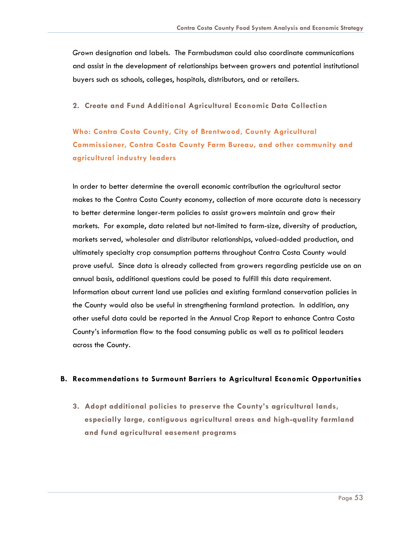*Grown* designation and labels. The Farmbudsman could also coordinate communications and assist in the development of relationships between growers and potential institutional buyers such as schools, colleges, hospitals, distributors, and or retailers.

**2. Create and Fund Additional Agricultural Economic Data Collection**

**Who: Contra Costa County, City of Brentwood, County Agricultural Commissioner, Contra Costa County Farm Bureau, and other community and agricultural industry leaders**

In order to better determine the overall economic contribution the agricultural sector makes to the Contra Costa County economy, collection of more accurate data is necessary to better determine longer-term policies to assist growers maintain and grow their markets. For example, data related but not-limited to farm-size, diversity of production, markets served, wholesaler and distributor relationships, valued-added production, and ultimately specialty crop consumption patterns throughout Contra Costa County would prove useful. Since data is already collected from growers regarding pesticide use on an annual basis, additional questions could be posed to fulfill this data requirement. Information about current land use policies and existing farmland conservation policies in the County would also be useful in strengthening farmland protection. In addition, any other useful data could be reported in the Annual Crop Report to enhance Contra Costa County's information flow to the food consuming public as well as to political leaders across the County.

#### **B. Recommendations to Surmount Barriers to Agricultural Economic Opportunities**

**3. Adopt additional policies to preserve the County's agricultural lands, especially large, contiguous agricultural areas and high-quality farmland and fund agricultural easement programs**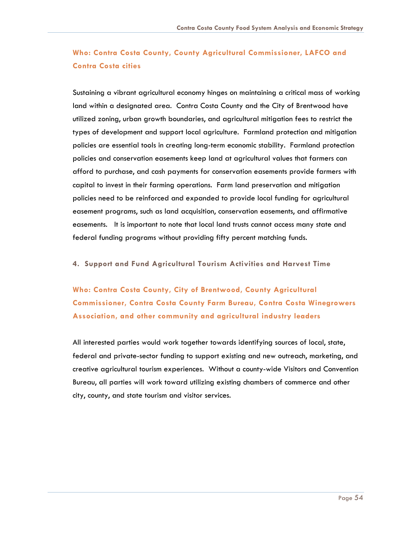### **Who: Contra Costa County, County Agricultural Commissioner, LAFCO and Contra Costa cities**

Sustaining a vibrant agricultural economy hinges on maintaining a critical mass of working land within a designated area. Contra Costa County and the City of Brentwood have utilized zoning, urban growth boundaries, and agricultural mitigation fees to restrict the types of development and support local agriculture. Farmland protection and mitigation policies are essential tools in creating long-term economic stability. Farmland protection policies and conservation easements keep land at agricultural values that farmers can afford to purchase, and cash payments for conservation easements provide farmers with capital to invest in their farming operations. Farm land preservation and mitigation policies need to be reinforced and expanded to provide local funding for agricultural easement programs, such as land acquisition, conservation easements, and affirmative easements. It is important to note that local land trusts cannot access many state and federal funding programs without providing fifty percent matching funds.

#### **4. Support and Fund Agricultural Tourism Activities and Harvest Time**

**Who: Contra Costa County, City of Brentwood, County Agricultural Commissioner, Contra Costa County Farm Bureau, Contra Costa Winegrowers Association, and other community and agricultural industry leaders**

All interested parties would work together towards identifying sources of local, state, federal and private-sector funding to support existing and new outreach, marketing, and creative agricultural tourism experiences. Without a county-wide Visitors and Convention Bureau, all parties will work toward utilizing existing chambers of commerce and other city, county, and state tourism and visitor services.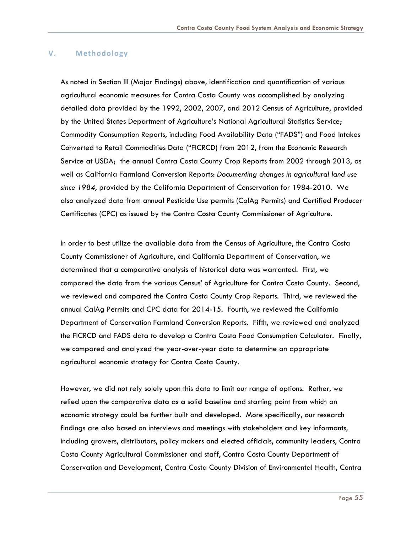#### **V. Methodology**

As noted in Section III (Major Findings) above, identification and quantification of various agricultural economic measures for Contra Costa County was accomplished by analyzing detailed data provided by the 1992, 2002, 2007, and 2012 Census of Agriculture, provided by the United States Department of Agriculture's National Agricultural Statistics Service; Commodity Consumption Reports, including Food Availability Data ("FADS") and Food Intakes Converted to Retail Commodities Data ("FICRCD) from 2012, from the Economic Research Service at USDA; the annual Contra Costa County Crop Reports from 2002 through 2013, as well as California Farmland Conversion Reports: *Documenting changes in agricultural land use since 1984*, provided by the California Department of Conservation for 1984-2010. We also analyzed data from annual Pesticide Use permits (CalAg Permits) and Certified Producer Certificates (CPC) as issued by the Contra Costa County Commissioner of Agriculture.

In order to best utilize the available data from the Census of Agriculture, the Contra Costa County Commissioner of Agriculture, and California Department of Conservation, we determined that a comparative analysis of historical data was warranted. First, we compared the data from the various Census' of Agriculture for Contra Costa County. Second, we reviewed and compared the Contra Costa County Crop Reports. Third, we reviewed the annual CalAg Permits and CPC data for 2014-15. Fourth, we reviewed the California Department of Conservation Farmland Conversion Reports. Fifth, we reviewed and analyzed the FICRCD and FADS data to develop a Contra Costa Food Consumption Calculator. Finally, we compared and analyzed the year-over-year data to determine an appropriate agricultural economic strategy for Contra Costa County.

However, we did not rely solely upon this data to limit our range of options. Rather, we relied upon the comparative data as a solid baseline and starting point from which an economic strategy could be further built and developed. More specifically, our research findings are also based on interviews and meetings with stakeholders and key informants, including growers, distributors, policy makers and elected officials, community leaders, Contra Costa County Agricultural Commissioner and staff, Contra Costa County Department of Conservation and Development, Contra Costa County Division of Environmental Health, Contra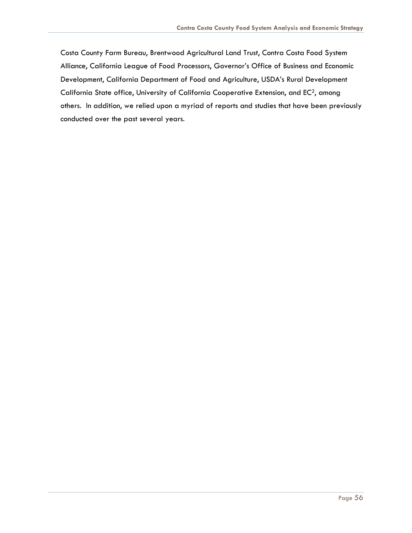Costa County Farm Bureau, Brentwood Agricultural Land Trust, Contra Costa Food System Alliance, California League of Food Processors, Governor's Office of Business and Economic Development, California Department of Food and Agriculture, USDA's Rural Development California State office, University of California Cooperative Extension, and EC<sup>2</sup>, among others. In addition, we relied upon a myriad of reports and studies that have been previously conducted over the past several years.